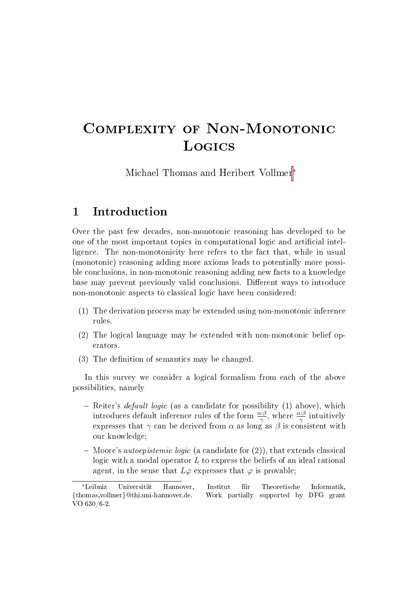# Complexity of Non-Monotonic **Logics**

Michael Thomas and Heribert Vollmer<sup>∗</sup>

# 1 Introduction

Over the past few decades, non-monotonic reasoning has developed to be one of the most important topics in computational logic and artificial intelligence. The non-monotonicity here refers to the fact that, while in usual (monotonic) reasoning adding more axioms leads to potentially more possible conclusions, in non-monotonic reasoning adding new facts to a knowledge base may prevent previously valid conclusions. Different ways to introduce non-monotonic aspects to classical logic have been considered:

- (1) The derivation process may be extended using non-monotonic inference rules.
- (2) The logical language may be extended with non-monotonic belief operators.
- $(3)$  The definition of semantics may be changed.

In this survey we consider a logical formalism from each of the above possibilities, namely

- Reiter's *default logic* (as a candidate for possibility (1) above), which introduces default inference rules of the form  $\frac{\alpha:\beta}{\gamma}$ , where  $\frac{\alpha:\beta}{\gamma}$  intuitively expresses that  $\gamma$  can be derived from  $\alpha$  as long as  $\beta$  is consistent with our knowledge;
- Moore's *autoepistemic logic* (a candidate for  $(2)$ ), that extends classical logic with a modal operator  $L$  to express the beliefs of an ideal rational agent, in the sense that  $L\varphi$  expresses that  $\varphi$  is provable;

<sup>∗</sup>Leibniz Universität Hannover, Institut für Theoretische Informatik, {thomas,vollmer}@thi.uni-hannover.de. Work partially supported by DFG grant VO 630/6-2.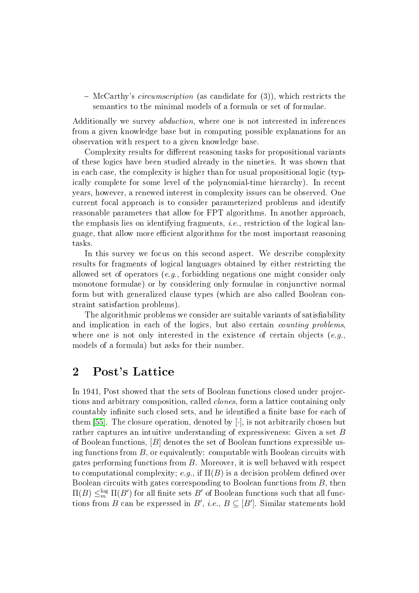$-McCart$  *o*'s *circumscription* (as candidate for  $(3)$ ), which restricts the semantics to the minimal models of a formula or set of formulae.

Additionally we survey abduction, where one is not interested in inferences from a given knowledge base but in computing possible explanations for an observation with respect to a given knowledge base.

Complexity results for different reasoning tasks for propositional variants of these logics have been studied already in the nineties. It was shown that in each case, the complexity is higher than for usual propositional logic (typically complete for some level of the polynomial-time hierarchy). In recent years, however, a renewed interest in complexity issues can be observed. One current focal approach is to consider parameterized problems and identify reasonable parameters that allow for FPT algorithms. In another approach, the emphasis lies on identifying fragments, *i.e.*, restriction of the logical language, that allow more efficient algorithms for the most important reasoning tasks.

In this survey we focus on this second aspect. We describe complexity results for fragments of logical languages obtained by either restricting the allowed set of operators  $(e,q)$ , forbidding negations one might consider only monotone formulae) or by considering only formulae in conjunctive normal form but with generalized clause types (which are also called Boolean constraint satisfaction problems).

The algorithmic problems we consider are suitable variants of satisfiability and implication in each of the logics, but also certain *counting problems*. where one is not only interested in the existence of certain objects (e.g., models of a formula) but asks for their number.

# 2 Post's Lattice

In 1941, Post showed that the sets of Boolean functions closed under projections and arbitrary composition, called clones, form a lattice containing only countably infinite such closed sets, and he identified a finite base for each of them [\[55\]](#page-30-0). The closure operation, denoted by  $[\cdot]$ , is not arbitrarily chosen but rather captures an intuitive understanding of expressiveness: Given a set B of Boolean functions, [B] denotes the set of Boolean functions expressible using functions from  $B$ , or equivalently: computable with Boolean circuits with gates performing functions from B. Moreover, it is well behaved with respect to computational complexity; e.g., if  $\Pi(B)$  is a decision problem defined over Boolean circuits with gates corresponding to Boolean functions from B, then  $\Pi(B) \leq_m^{\log} \Pi(B')$  for all finite sets  $B'$  of Boolean functions such that all functions from B can be expressed in B', i.e.,  $B \subseteq [B']$ . Similar statements hold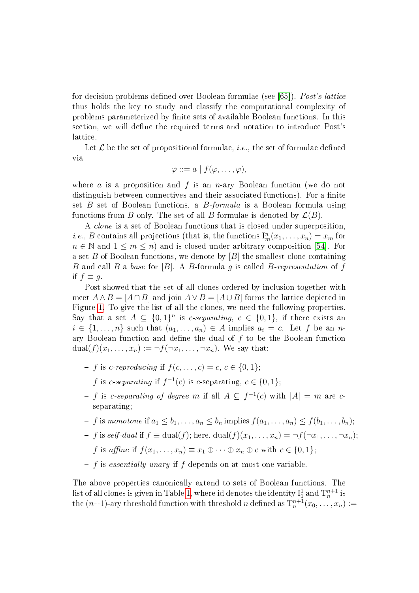for decision problems defined over Boolean formulae (see [\[65\]](#page-31-0)). Post's lattice thus holds the key to study and classify the computational complexity of problems parameterized by finite sets of available Boolean functions. In this section, we will define the required terms and notation to introduce Post's lattice.

Let  $\mathcal L$  be the set of propositional formulae, *i.e.*, the set of formulae defined via

$$
\varphi ::= a \mid f(\varphi, \ldots, \varphi),
$$

where a is a proposition and f is an n-ary Boolean function (we do not distinguish between connectives and their associated functions). For a finite set  $B$  set of Boolean functions, a  $B$ -formula is a Boolean formula using functions from B only. The set of all B-formulae is denoted by  $\mathcal{L}(B)$ .

A clone is a set of Boolean functions that is closed under superposition, *i.e.*, *B* contains all projections (that is, the functions  $I_m^n(x_1, \ldots, x_n) = x_m$  for  $n \in \mathbb{N}$  and  $1 \leq m \leq n$ ) and is closed under arbitrary composition [\[54\]](#page-30-1). For a set B of Boolean functions, we denote by  $[B]$  the smallest clone containing B and call B a base for [B]. A B-formula q is called B-representation of f if  $f \equiv q$ .

Post showed that the set of all clones ordered by inclusion together with meet  $A \wedge B = [A \cap B]$  and join  $A \vee B = [A \cup B]$  forms the lattice depicted in Figure [1.](#page-4-0) To give the list of all the clones, we need the following properties. Say that a set  $A \subseteq \{0,1\}^n$  is *c-separating*,  $c \in \{0,1\}$ , if there exists an  $i \in \{1, \ldots, n\}$  such that  $(a_1, \ldots, a_n) \in A$  implies  $a_i = c$ . Let f be an nary Boolean function and define the dual of  $f$  to be the Boolean function  $dual(f)(x_1, \ldots, x_n) := \neg f(\neg x_1, \ldots, \neg x_n)$ . We say that:

- $f$  is c-reproducing if  $f(c, ..., c) = c, c \in \{0, 1\};$
- f is c-separating if  $f^{-1}(c)$  is c-separating,  $c \in \{0, 1\}$ ;
- − f is c-separating of degree m if all  $A \subseteq f^{-1}(c)$  with  $|A| = m$  are cseparating;
- f is monotone if  $a_1 \leq b_1, \ldots, a_n \leq b_n$  implies  $f(a_1, \ldots, a_n) \leq f(b_1, \ldots, b_n);$
- f is self-dual if  $f \equiv \text{dual}(f)$ ; here,  $\text{dual}(f)(x_1, \ldots, x_n) = \neg f(\neg x_1, \ldots, \neg x_n);$
- f is affine if  $f(x_1, \ldots, x_n) \equiv x_1 \oplus \cdots \oplus x_n \oplus c$  with  $c \in \{0, 1\};$
- $\overline{f}$  is essentially unary if f depends on at most one variable.

The above properties canonically extend to sets of Boolean functions. The list of all clones is given in Table [1,](#page-3-0) where id denotes the identity  ${\rm I}_1^1$  and  ${\rm T}^{n+1}_n$  is the  $(n+1)$ -ary threshold function with threshold n defined as  $T_n^{n+1}(x_0,\ldots,x_n) :=$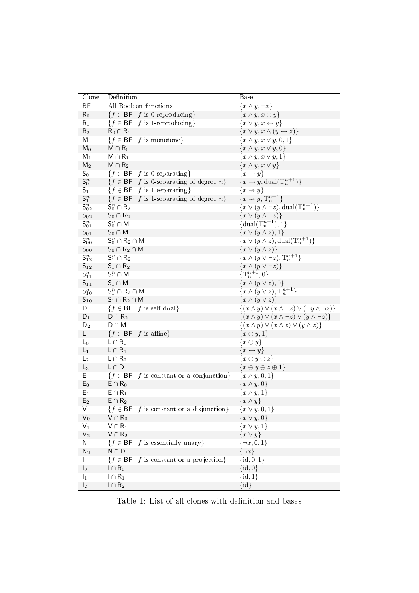| Clone               | Definition                                                                  | <b>Base</b>                                                            |
|---------------------|-----------------------------------------------------------------------------|------------------------------------------------------------------------|
| BF                  | All Boolean functions                                                       | $\{x \wedge y, \neg x\}$                                               |
| $R_0$               | ${f \in \mathsf{BF} \mid f \text{ is 0-reproducing}\}$                      | $\{x \wedge y, x \oplus y\}$                                           |
| $\mathsf{R}_1$      | ${f \in \mathsf{BF} \mid f \text{ is 1-reproducing}}$                       | ${x \vee y, x \leftrightarrow y}$                                      |
| $R_2$               | $R_0 \cap R_1$                                                              | ${x \vee y, x \wedge (y \leftrightarrow z)}$                           |
| Μ                   | ${f \in \mathsf{BF} \mid f \text{ is monotone}}$                            | $\{x \wedge y, x \vee y, 0, 1\}$                                       |
| $\mathsf{M}_0$      | $M \cap R_0$                                                                | ${x \wedge y, x \vee y, 0}$                                            |
| $M_1$               | $M \cap R_1$                                                                | $\{x \wedge y, x \vee y, 1\}$                                          |
| $M_2$               | $M \cap R_2$                                                                | $\{x \wedge y, x \vee y\}$                                             |
| $S_0$               | ${f \in \mathsf{BF} \mid f \text{ is } 0\text{-separating}}$                | ${x \rightarrow y}$                                                    |
| $\mathsf{S}_0^n$    | $\{f \in \mathsf{BF} \mid f \text{ is } 0\text{-separating of degree } n\}$ | ${x \rightarrow y, \text{dual}(T_n^{n+1})}$                            |
| $\mathsf{S}_1$      | ${f \in \mathsf{BF} \mid f \text{ is 1-separating}}$                        | $\{x \rightarrow y\}$                                                  |
| $\mathsf{S}_1^n$    | ${f \in \mathsf{BF} \mid f \text{ is 1-separating of degree } n}$           | $\{x \rightarrow y, \mathrm{T}_n^{n+1}\}\$                             |
| $\mathsf{S}_{02}^n$ | $\mathsf{S}_0^n \cap \mathsf{R}_2$                                          | $\{x \vee (y \wedge \neg z), \text{dual}(\mathrm{T}_n^{n+1})\}\$       |
| $\mathsf{S}_{02}$   | $S_0 \cap R_2$                                                              | $\{x \vee (y \wedge \neg z)\}\$                                        |
| $\mathsf{S}^n_{01}$ | $\mathsf{S}_0^n \cap \mathsf{M}$                                            | $\{\text{dual}(\mathbf{T}_{n}^{n+1}),1\}$                              |
| $S_{01}$            | $S_0 \cap M$                                                                | $\{x \vee (y \wedge z), 1\}$                                           |
| $S_{00}^n$          | $\mathsf{S}_0^n \cap \mathsf{R}_2 \cap \mathsf{M}$                          | $\{x \vee (y \wedge z), \text{dual}(\mathrm{T}_n^{n+1})\}\$            |
| $S_{00}$            | $S_0 \cap R_2 \cap M$                                                       | ${x \vee (y \wedge z)}$                                                |
| $\mathsf{S}^n_{12}$ | $\mathsf{S}_1^n \cap \mathsf{R}_2$                                          | $\{x \wedge (y \vee \neg z), \mathrm{T}_n^{n+1}\}\$                    |
| $S_{12}$            | $\mathsf{S}_1\cap\mathsf{R}_2$                                              | $\{x \wedge (y \vee \neg z)\}\$                                        |
| $\mathsf{S}^n_{11}$ | $\mathsf{S}_1^n \cap \mathsf{M}$                                            | $\{\mathrm{T}^{n+1}_n,0\}$                                             |
| $S_{11}$            | $S_1 \cap M$                                                                | ${x \wedge (y \vee z), 0}$                                             |
| $\mathsf{S}^n_{10}$ | $S_1^n \cap R_2 \cap M$                                                     | ${x \wedge (y \vee z),\mathrm{T}_{n}^{n+1}}$                           |
| $S_{10}$            | $S_1 \cap R_2 \cap M$                                                       | $\{x \wedge (y \vee z)\}\$                                             |
| D                   | ${f \in \mathsf{BF} \mid f \text{ is self-dual}}$                           | $\{(x \wedge y) \vee (x \wedge \neg z) \vee (\neg y \wedge \neg z)\}\$ |
| $D_1$               | $D \cap R_2$                                                                | $\{(x \wedge y) \vee (x \wedge \neg z) \vee (y \wedge \neg z)\}\$      |
| $D_2$               | $D \cap M$                                                                  | $\{(x \wedge y) \vee (x \wedge z) \vee (y \wedge z)\}\$                |
| L                   | ${f \in \mathsf{BF} \mid f \text{ is affine}}$                              | $\{x\oplus y,1\}$                                                      |
| $L_0$               | $L \cap R_0$                                                                | $\{x \oplus y\}$                                                       |
| $L_1$               | $L \cap R_1$                                                                | ${x \leftrightarrow y}$                                                |
| $L_2$               | $L \cap R_2$                                                                | $\{x\oplus y\oplus z\}$                                                |
| $L_3$               | $L \cap D$                                                                  | $\{x\oplus y\oplus z\oplus 1\}$                                        |
| E                   | ${f \in \mathsf{BF} \mid f \text{ is constant or a conjunction}}$           | $\{x\wedge y, 0, 1\}$                                                  |
| $E_0$               | $E \cap R_0$                                                                | $\{x \wedge y, 0\}$                                                    |
| $E_1$               | $E \cap R_1$                                                                | $\{x \wedge y, 1\}$                                                    |
| $E_2$               | $E \cap R_2$                                                                | $\{x \wedge y\}$                                                       |
| V                   | ${f \in \mathsf{BF} \mid f \text{ is constant or a disjunction}}$           | ${x \vee y, 0, 1}$                                                     |
| $V_0$               | $V \cap R_0$                                                                | ${x \vee y, 0}$                                                        |
| $V_1$               | $V \cap R_1$                                                                | $\{x \vee y, 1\}$                                                      |
| V <sub>2</sub>      | $V \cap R_2$                                                                | ${x \vee y}$                                                           |
| N                   | ${f \in \mathsf{BF} \mid f \text{ is essentially unary}}$                   | $\{\neg x, 0, 1\}$                                                     |
| N <sub>2</sub>      | $N \cap D$                                                                  | $\{\neg x\}$                                                           |
|                     | ${f \in \mathsf{BF} \mid f \text{ is constant or a projection}}$            | $\{id, 0, 1\}$                                                         |
| $\mathsf{I}_0$      | $I \cap R_0$                                                                | $\{id, 0\}$                                                            |
| $\mathsf{I}_1$      | $I\cap R_1$                                                                 | $\{id, 1\}$                                                            |
| $\mathsf{I}_2$      | $I \cap R_2$                                                                | $\{id\}$                                                               |

<span id="page-3-0"></span>Table 1: List of all clones with definition and bases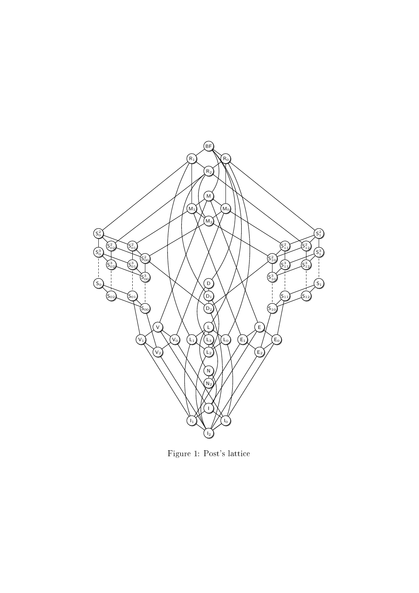

<span id="page-4-0"></span>Figure 1: Post's lattice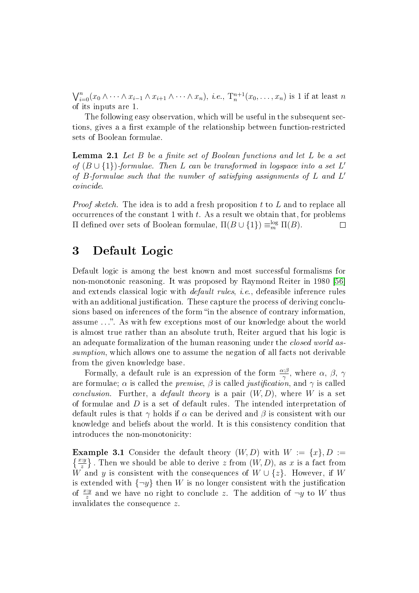$\bigvee_{i=0}^{n}(x_0\wedge\cdots\wedge x_{i-1}\wedge x_{i+1}\wedge\cdots\wedge x_n),$  *i.e.*,  $T_n^{n+1}(x_0,\ldots,x_n)$  is 1 if at least n of its inputs are 1.

The following easy observation, which will be useful in the subsequent sections, gives a a first example of the relationship between function-restricted sets of Boolean formulae.

<span id="page-5-0"></span>**Lemma 2.1** Let  $B$  be a finite set of Boolean functions and let  $L$  be a set of  $(B \cup \{1\})$ -formulae. Then L can be transformed in logspace into a set L' of  $B$ -formulae such that the number of satisfying assignments of  $L$  and  $L'$ coincide.

*Proof sketch.* The idea is to add a fresh proposition  $t$  to  $L$  and to replace all occurrences of the constant  $1$  with  $t$ . As a result we obtain that, for problems Π defined over sets of Boolean formulae,  $\Pi(B \cup \{1\}) \equiv_m^{\log} \Pi(B)$ .  $\Box$ 

# 3 Default Logic

Default logic is among the best known and most successful formalisms for non-monotonic reasoning. It was proposed by Raymond Reiter in 1980 [\[56\]](#page-30-2) and extends classical logic with *default rules, i.e.*, defeasible inference rules with an additional justification. These capture the process of deriving conclusions based on inferences of the form "in the absence of contrary information. assume . . .. As with few exceptions most of our knowledge about the world is almost true rather than an absolute truth, Reiter argued that his logic is an adequate formalization of the human reasoning under the *closed world as*sumption, which allows one to assume the negation of all facts not derivable from the given knowledge base.

Formally, a default rule is an expression of the form  $\frac{\alpha \beta}{\gamma}$ , where  $\alpha$ ,  $\beta$ ,  $\gamma$ are formulae;  $\alpha$  is called the *premise*,  $\beta$  is called *justification*, and  $\gamma$  is called *conclusion.* Further, a *default theory* is a pair  $(W, D)$ , where W is a set of formulae and D is a set of default rules. The intended interpretation of default rules is that  $\gamma$  holds if  $\alpha$  can be derived and  $\beta$  is consistent with our knowledge and beliefs about the world. It is this consistency condition that introduces the non-monotonicity:

**Example 3.1** Consider the default theory  $(W, D)$  with  $W := \{x\}, D :=$  $\{\frac{xy}{z}\}$ . Then we should be able to derive z from  $(W, D)$ , as x is a fact from W and y is consistent with the consequences of  $W \cup \{z\}$ . However, if W is extended with  $\{\neg y\}$  then W is no longer consistent with the justification of  $\frac{xy}{z}$  and we have no right to conclude z. The addition of  $\neg y$  to W thus invalidates the consequence z.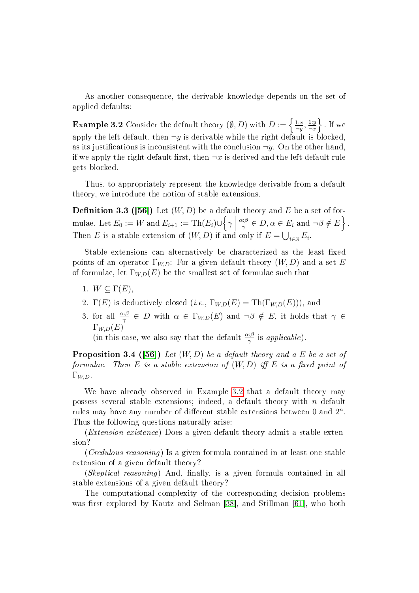As another consequence, the derivable knowledge depends on the set of applied defaults:

<span id="page-6-0"></span>**Example 3.2** Consider the default theory  $(\emptyset, D)$  with  $D := \begin{cases} \frac{1:x}{\neg\nu} & \text{if } v \leq \frac{1}{\neg\nu} \end{cases}$  $\frac{1:x}{\neg y}, \frac{1:y}{\neg x}$  $\frac{1:y}{\neg x}$ . If we apply the left default, then  $\neg y$  is derivable while the right default is blocked. as its justifications is inconsistent with the conclusion  $\neg y$ . On the other hand, if we apply the right default first, then  $\neg x$  is derived and the left default rule gets blocked.

Thus, to appropriately represent the knowledge derivable from a default theory, we introduce the notion of stable extensions.

**Definition 3.3 ([\[56\]](#page-30-2))** Let  $(W, D)$  be a default theory and E be a set of formulae. Let  $E_0 := W$  and  $E_{i+1} := \text{Th}(E_i) \cup \left\{ \gamma \mid$  $\alpha$ : $\beta$  $\frac{\partial \mu}{\partial \gamma} \in D, \alpha \in E_i \text{ and } \neg \beta \notin E$ . Then E is a stable extension of  $(W, D)$  if and only if  $E = \bigcup_{i \in \mathbb{N}} E_i$ .

Stable extensions can alternatively be characterized as the least fixed points of an operator  $\Gamma_{WD}$ : For a given default theory  $(W, D)$  and a set E of formulae, let  $\Gamma_{W,D}(E)$  be the smallest set of formulae such that

- 1.  $W \subset \Gamma(E)$ .
- 2.  $\Gamma(E)$  is deductively closed  $(i.e., \Gamma_{W,D}(E) = \text{Th}(\Gamma_{W,D}(E)))$ , and
- 3. for all  $\frac{\alpha:\beta}{\gamma} \in D$  with  $\alpha \in \Gamma_{W,D}(E)$  and  $\neg \beta \notin E$ , it holds that  $\gamma \in$  $\Gamma_{W,D}(E)$

(in this case, we also say that the default  $\frac{\alpha:\beta}{\gamma}$  is applicable).

**Proposition 3.4 ([\[56\]](#page-30-2))** Let  $(W, D)$  be a default theory and a E be a set of formulae. Then E is a stable extension of  $(W, D)$  iff E is a fixed point of  $\Gamma_{W,D}$ .

We have already observed in Example [3.2](#page-6-0) that a default theory may possess several stable extensions; indeed, a default theory with n default rules may have any number of different stable extensions between 0 and  $2^n$ . Thus the following questions naturally arise:

(Extension existence) Does a given default theory admit a stable extension?

(Credulous reasoning) Is a given formula contained in at least one stable extension of a given default theory?

 $(Skeptical reasoning)$  And, finally, is a given formula contained in all stable extensions of a given default theory?

The computational complexity of the corresponding decision problems was first explored by Kautz and Selman [\[38\]](#page-29-0), and Stillman [\[61\]](#page-30-3), who both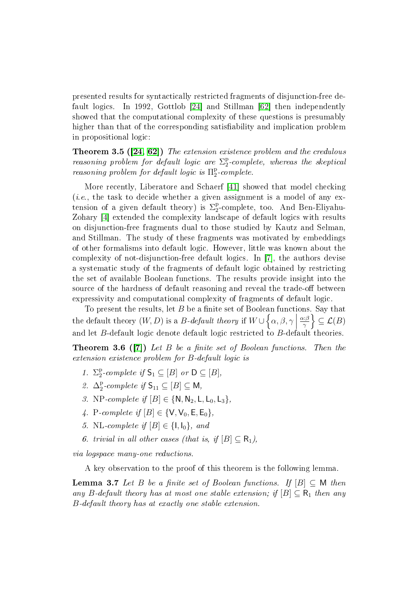presented results for syntactically restricted fragments of disjunction-free default logics. In 1992, Gottlob [\[24\]](#page-28-0) and Stillman [\[62\]](#page-30-4) then independently showed that the computational complexity of these questions is presumably higher than that of the corresponding satisfiability and implication problem in propositional logic:

<span id="page-7-1"></span>Theorem 3.5 ([\[24,](#page-28-0) [62\]](#page-30-4)) The extension existence problem and the credulous reasoning problem for default logic are  $\Sigma^\text{p}_2$ 2 -complete, whereas the skeptical *reasoning problem for default logic is*  $\Pi_2^{\text{p}}$  $2^{p}$ -complete.

More recently, Liberatore and Schaerf [\[41\]](#page-29-1) showed that model checking (*i.e.*, the task to decide whether a given assignment is a model of any extension of a given default theory) is  $\Sigma_2^{\rm p}$ 2 -complete, too. And Ben-Eliyahu-Zohary [\[4\]](#page-27-0) extended the complexity landscape of default logics with results on disjunction-free fragments dual to those studied by Kautz and Selman, and Stillman. The study of these fragments was motivated by embeddings of other formalisms into default logic. However, little was known about the complexity of not-disjunction-free default logics. In [\[7\]](#page-27-1), the authors devise a systematic study of the fragments of default logic obtained by restricting the set of available Boolean functions. The results provide insight into the source of the hardness of default reasoning and reveal the trade-off between expressivity and computational complexity of fragments of default logic.

To present the results, let  $B$  be a finite set of Boolean functions. Say that the default theory  $(W, D)$  is a B-default theory if  $W \cup \left\{\alpha, \beta, \gamma \mid \beta, \beta, \gamma, \gamma\right\}$ α:β  $\left\{\frac{\alpha:\beta}{\gamma}\right\} \subseteq \mathcal{L}(B)$ and let  $B$ -default logic denote default logic restricted to  $B$ -default theories.

<span id="page-7-0"></span>**Theorem 3.6 ([\[7\]](#page-27-1))** Let B be a finite set of Boolean functions. Then the extension existence problem for B-default logic is

- 1.  $\Sigma_2^{\rm p}$  $_2^{\text{p}}$ -complete if  $\mathsf{S}_1 \subseteq [B]$  or  $\mathsf{D} \subseteq [B]$ ,
- 2.  $\Delta_2^p$  $_2^{\text{p}}$ -complete if  $\mathsf{S}_{11} \subseteq [B] \subseteq \mathsf{M}$ ,
- 3. NP-complete if  $[B] \in \{N, N_2, L, L_0, L_3\}$ ,
- 4. P-complete if  $[B] \in \{V, V_0, E, E_0\},\$
- 5. NL-complete if  $[B] \in \{1, I_0\}$ , and
- 6. trivial in all other cases (that is, if  $[B] \subset R_1$ ),

via logspace many-one reductions.

A key observation to the proof of this theorem is the following lemma.

<span id="page-7-2"></span>**Lemma 3.7** Let B be a finite set of Boolean functions. If  $[B] \subseteq M$  then any B-default theory has at most one stable extension; if  $[B] \subseteq R_1$  then any B-default theory has at exactly one stable extension.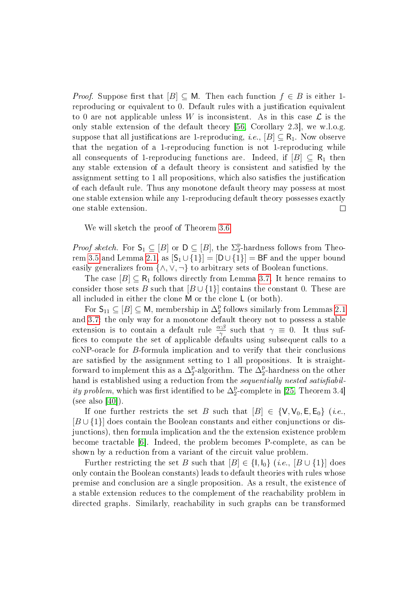*Proof.* Suppose first that  $[B] \subseteq M$ . Then each function  $f \in B$  is either 1reproducing or equivalent to 0. Default rules with a justification equivalent to 0 are not applicable unless W is inconsistent. As in this case  $\mathcal L$  is the only stable extension of the default theory [\[56,](#page-30-2) Corollary 2.3], we w.l.o.g. suppose that all justifications are 1-reproducing, *i.e.*,  $[B] \subseteq R_1$ . Now observe that the negation of a 1-reproducing function is not 1-reproducing while all consequents of 1-reproducing functions are. Indeed, if  $[B] \subseteq R_1$  then any stable extension of a default theory is consistent and satisfied by the assignment setting to 1 all propositions, which also satisfies the justification of each default rule. Thus any monotone default theory may possess at most one stable extension while any 1-reproducing default theory possesses exactly one stable extension.  $\Box$ 

We will sketch the proof of Theorem [3.6.](#page-7-0)

*Proof sketch.* For  $\mathsf{S}_1 \subseteq [B]$  or  $\mathsf{D} \subseteq [B]$ , the  $\Sigma_2^{\mathsf{p}}$ <sup>p</sup>-hardness follows from Theo-rem [3.5](#page-7-1) and Lemma [2.1,](#page-5-0) as  $[S_1 \cup \{1\}] = [D \cup \{1\}] = BF$  and the upper bound easily generalizes from  $\{\wedge, \vee, \neg\}$  to arbitrary sets of Boolean functions.

The case  $[B] \subseteq \mathsf{R}_1$  follows directly from Lemma [3.7.](#page-7-2) It hence remains to consider those sets B such that  $[B \cup \{1\}]$  contains the constant 0. These are all included in either the clone M or the clone L (or both).

For  $\mathsf{S}_{11} \subseteq [B] \subseteq \mathsf{M}$ , membership in  $\Delta_2^{\mathrm{p}}$  $_2^{\rm p}$  follows similarly from Lemmas [2.1](#page-5-0) and [3.7:](#page-7-2) the only way for a monotone default theory not to possess a stable extension is to contain a default rule  $\frac{\alpha:\beta}{\gamma}$  such that  $\gamma \equiv 0$ . It thus suffices to compute the set of applicable defaults using subsequent calls to a coNP-oracle for B-formula implication and to verify that their conclusions are satisfied by the assignment setting to 1 all propositions. It is straightforward to implement this as a  $\Delta_2^{\rm p}$  $_2^{\rm p}$ -algorithm. The  $\Delta_2^{\rm p}$ <sup>p</sup><sub>2</sub>-hardness on the other hand is established using a reduction from the sequentially nested satisfiabil*ity problem*, which was first identified to be  $\Delta_2^{\rm p}$ 2 -complete in [\[25,](#page-28-1) Theorem 3.4] (see also [\[40\]](#page-29-2)).

If one further restricts the set B such that  $[B] \in \{V, V_0, E, E_0\}$  (*i.e.*, [B ∪ {1}] does contain the Boolean constants and either conjunctions or disjunctions), then formula implication and the the extension existence problem become tractable [\[6\]](#page-27-2). Indeed, the problem becomes P-complete, as can be shown by a reduction from a variant of the circuit value problem.

Further restricting the set B such that  $[B] \in \{1, I_0\}$  (i.e.,  $[B \cup \{1\}]$  does only contain the Boolean constants) leads to default theories with rules whose premise and conclusion are a single proposition. As a result, the existence of a stable extension reduces to the complement of the reachability problem in directed graphs. Similarly, reachability in such graphs can be transformed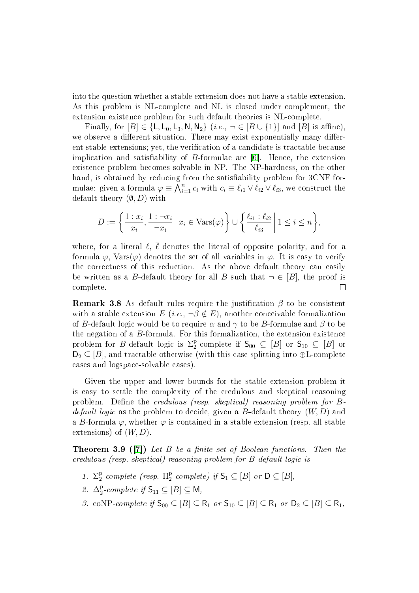into the question whether a stable extension does not have a stable extension. As this problem is NL-complete and NL is closed under complement, the extension existence problem for such default theories is NL-complete.

Finally, for  $[B] \in \{L, L_0, L_3, N, N_2\}$  (*i.e.*,  $\neg \in [B \cup \{1\}]$  and  $[B]$  is affine), we observe a different situation. There may exist exponentially many different stable extensions; yet, the verification of a candidate is tractable because implication and satisfiability of  $B$ -formulae are  $[6]$ . Hence, the extension existence problem becomes solvable in NP. The NP-hardness, on the other hand, is obtained by reducing from the satisfiability problem for 3CNF formulae: given a formula  $\varphi \equiv \bigwedge_{i=1}^n c_i$  with  $c_i \equiv \ell_{i1} \vee \ell_{i2} \vee \ell_{i3}$ , we construct the default theory  $(\emptyset, D)$  with

$$
D := \left\{ \frac{1: x_i}{x_i}, \frac{1: \neg x_i}{\neg x_i} \middle| x_i \in \text{Vars}(\varphi) \right\} \cup \left\{ \frac{\overline{\ell_{i1}}: \overline{\ell_{i2}}}{\ell_{i3}} \middle| 1 \le i \le n \right\},\
$$

where, for a literal  $\ell, \bar{\ell}$  denotes the literal of opposite polarity, and for a formula  $\varphi$ , Vars $(\varphi)$  denotes the set of all variables in  $\varphi$ . It is easy to verify the correctness of this reduction. As the above default theory can easily be written as a B-default theory for all B such that  $\neg \in [B]$ , the proof is complete.  $\Box$ 

**Remark 3.8** As default rules require the justification  $\beta$  to be consistent with a stable extension  $E(i.e., \neg \beta \notin E)$ , another conceivable formalization of B-default logic would be to require  $\alpha$  and  $\gamma$  to be B-formulae and  $\beta$  to be the negation of a B-formula. For this formalization, the extension existence problem for *B*-default logic is  $\Sigma_2^{\rm p}$  $_2^{\text{p}}$ -complete if  $\mathsf{S}_{00} \subseteq [B]$  or  $\mathsf{S}_{10} \subseteq [B]$  or  $D_2 \subseteq [B]$ , and tractable otherwise (with this case splitting into  $\oplus L$ -complete cases and logspace-solvable cases).

Given the upper and lower bounds for the stable extension problem it is easy to settle the complexity of the credulous and skeptical reasoning problem. Define the credulous (resp. skeptical) reasoning problem for  $B$ *default logic* as the problem to decide, given a B-default theory  $(W, D)$  and a B-formula  $\varphi$ , whether  $\varphi$  is contained in a stable extension (resp. all stable extensions) of  $(W, D)$ .

**Theorem 3.9 ([\[7\]](#page-27-1))** Let B be a finite set of Boolean functions. Then the credulous (resp. skeptical) reasoning problem for B-default logic is

- 1.  $\Sigma_2^p$  $_2^{\rm p}$ -complete (resp.  $\Pi_2^{\rm p}$  $_2^{\text{p}}$ -complete) if  $\mathsf{S}_1 \subseteq [B]$  or  $\mathsf{D} \subseteq [B]$ ,
- 2.  $\Delta_2^{\rm p}$  $_2^{p}$ -complete if  $\mathsf{S}_{11} \subseteq [B] \subseteq \mathsf{M}$ ,
- 3. coNP-complete if  $S_{00} \subseteq [B] \subseteq R_1$  or  $S_{10} \subseteq [B] \subseteq R_1$  or  $D_2 \subseteq [B] \subseteq R_1$ ,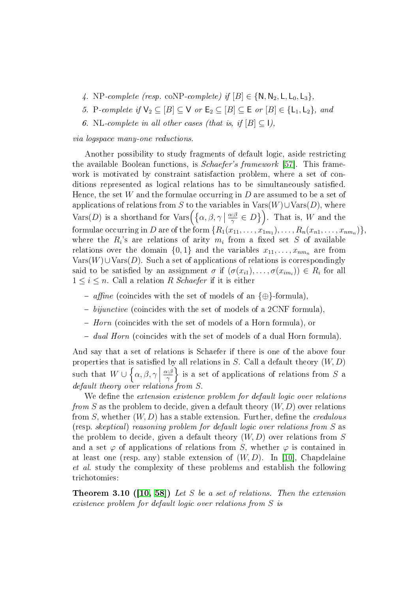- 4. NP-complete (resp. coNP-complete) if  $[B] \in \{N, N_2, L, L_0, L_3\}$ ,
- 5. P-complete if  $\mathsf{V}_2 \subseteq [B] \subseteq \mathsf{V}$  or  $\mathsf{E}_2 \subseteq [B] \subseteq \mathsf{E}$  or  $[B] \in {\{\mathsf{L}_1, \mathsf{L}_2\}}$ , and
- 6. NL-complete in all other cases (that is, if  $[B] \subset I$ ),

#### via logspace many-one reductions.

Another possibility to study fragments of default logic, aside restricting the available Boolean functions, is Schaefer's framework [\[57\]](#page-30-5). This framework is motivated by constraint satisfaction problem, where a set of conditions represented as logical relations has to be simultaneously satisfied. Hence, the set W and the formulae occurring in  $D$  are assumed to be a set of applications of relations from S to the variables in  $\text{Vars}(W) \cup \text{Vars}(D)$ , where Vars $(D)$  is a shorthand for Vars $\left(\left\{\alpha,\beta,\gamma\ |\ \frac{\alpha:\beta}{\gamma}\in D\right\}\right)$ . That is, W and the formulae occurring in  $D$  are of the form  $\{R_1(x_{11},\ldots,x_{1m_1}),\ldots,R_n(x_{n1},\ldots,x_{nm_n})\},$ where the  $R_i$ 's are relations of arity  $m_i$  from a fixed set S of available relations over the domain  $\{0, 1\}$  and the variables  $x_{11}, \ldots, x_{nmn}$  are from  $Vars(W) \cup Vars(D)$ . Such a set of applications of relations is correspondingly said to be satisfied by an assignment  $\sigma$  if  $(\sigma(x_{i1}), \ldots, \sigma(x_{im_i})) \in R_i$  for all  $1 \leq i \leq n$ . Call a relation R Schaefer if it is either

- affine (coincides with the set of models of an  $\{\oplus\}$ -formula),
- $\overline{\phantom{a}}$  bijunctive (coincides with the set of models of a 2CNF formula),
- Horn (coincides with the set of models of a Horn formula), or
- $-$  dual Horn (coincides with the set of models of a dual Horn formula).

And say that a set of relations is Schaefer if there is one of the above four properties that is satisfied by all relations in S. Call a default theory  $(W, D)$ such that  $W \cup \left\{ \alpha, \beta, \gamma \right\}$  $\alpha$ : $\beta$  $\left\{\frac{\mu}{\gamma}\right\}$  is a set of applications of relations from S a default theory over relations from S.

We define the extension existence problem for default logic over relations from S as the problem to decide, given a default theory  $(W, D)$  over relations from S, whether  $(W, D)$  has a stable extension. Further, define the *credulous* (resp. skeptical) reasoning problem for default logic over relations from S as the problem to decide, given a default theory  $(W, D)$  over relations from S and a set  $\varphi$  of applications of relations from S, whether  $\varphi$  is contained in at least one (resp. any) stable extension of  $(W, D)$ . In [\[10\]](#page-27-3), Chapdelaine et al. study the complexity of these problems and establish the following trichotomies:

**Theorem 3.10 ([\[10,](#page-27-3) [58\]](#page-30-6))** Let S be a set of relations. Then the extension existence problem for default logic over relations from S is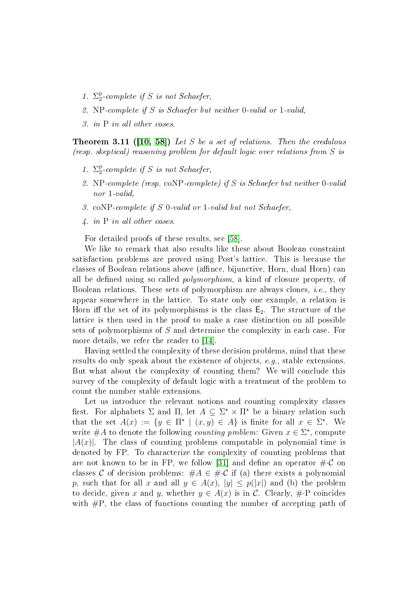- 1.  $\Sigma_2^{\rm p}$  $2^{P}$ -complete if S is not Schaefer,
- 2. NP-complete if S is Schaefer but neither 0-valid or 1-valid,
- 3. in P in all other cases.

**Theorem 3.11 ([\[10,](#page-27-3) [58\]](#page-30-6))** Let S be a set of relations. Then the credulous (resp. skeptical) reasoning problem for default logic over relations from S is

- 1.  $\Sigma_2^p$  $2^{P}$ -complete if S is not Schaefer,
- 2. NP-complete (resp. coNP-complete) if S is Schaefer but neither 0-valid nor 1-valid,
- 3. coNP-complete if S 0-valid or 1-valid but not Schaefer,
- 4. in P in all other cases.

For detailed proofs of these results, see [\[58\]](#page-30-6).

We like to remark that also results like these about Boolean constraint satisfaction problems are proved using Post's lattice. This is because the classes of Boolean relations above (affinee, bijunctive, Horn, dual Horn) can all be defined using so called *polymorphism*, a kind of closure property, of Boolean relations. These sets of polymorphism are always clones, i.e., they appear somewhere in the lattice. To state only one example, a relation is Horn iff the set of its polymorphisms is the class  $E_2$ . The structure of the lattice is then used in the proof to make a case distinction on all possible sets of polymorphisms of S and determine the complexity in each case. For more details, we refer the reader to [\[14\]](#page-27-4).

Having settled the complexity of these decision problems, mind that these results do only speak about the existence of objects, e.g., stable extensions. But what about the complexity of counting them? We will conclude this survey of the complexity of default logic with a treatment of the problem to count the number stable extensions.

Let us introduce the relevant notions and counting complexity classes first. For alphabets  $\Sigma$  and  $\Pi$ , let  $A \subseteq \Sigma^* \times \Pi^*$  be a binary relation such that the set  $A(x) := \{y \in \Pi^* \mid (x, y) \in A\}$  is finite for all  $x \in \Sigma^*$ . We write #A to denote the following *counting problem*: Given  $x \in \Sigma^*$ , compute  $|A(x)|$ . The class of counting problems computable in polynomial time is denoted by FP. To characterize the complexity of counting problems that are not known to be in FP, we follow [\[31\]](#page-29-3) and define an operator  $\#\mathcal{C}$  on classes C of decision problems:  $#A \in #\mathcal{C}$  if (a) there exists a polynomial p, such that for all x and all  $y \in A(x)$ ,  $|y| \leq p(|x|)$  and (b) the problem to decide, given x and y, whether  $y \in A(x)$  is in C. Clearly,  $\# \cdot P$  coincides with  $\#P$ , the class of functions counting the number of accepting path of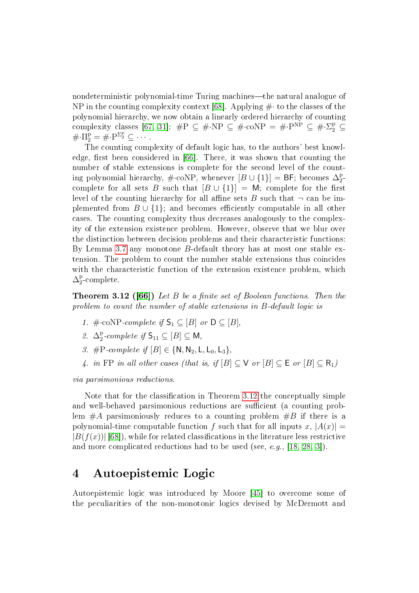nondeterministic polynomial-time Turing machines—the natural analogue of NP in the counting complexity context [\[68\]](#page-31-1). Applying  $\#$  to the classes of the polynomial hierarchy, we now obtain a linearly ordered hierarchy of counting complexity classes [\[67,](#page-31-2) [31\]](#page-29-3):  $\#P \subseteq \# \cdot NP \subseteq \# \cdot \text{coNP} = \# \cdot P^{NP} \subseteq \# \cdot \Sigma_2^P \subseteq$  $\#\cdot\Pi_2^{\mathrm{p}} = \check{\#}\cdot\mathrm{P}^{\Sigma_2^{\mathrm{p}}} \subseteq \cdots$ 

The counting complexity of default logic has, to the authors' best knowl-edge, first been considered in [\[66\]](#page-31-3). There, it was shown that counting the number of stable extensions is complete for the second level of the counting polynomial hierarchy, #∙coNP, whenever  $[B \cup \{1\}] = \mathsf{BF};$  becomes  $\Delta_2^{\mathrm{p}}$  $\frac{\text{p}}{2}$ complete for all sets B such that  $[B \cup \{1\}] = M$ ; complete for the first level of the counting hierarchy for all affine sets B such that  $\neg$  can be implemented from  $B \cup \{1\}$ ; and becomes efficiently computable in all other cases. The counting complexity thus decreases analogously to the complexity of the extension existence problem. However, observe that we blur over the distinction between decision problems and their characteristic functions: By Lemma [3.7](#page-7-2) any monotone B-default theory has at most one stable extension. The problem to count the number stable extensions thus coincides with the characteristic function of the extension existence problem, which  $\Delta_2^{\rm p}$  $_{2}^{\mathrm{p}}$ -complete.

<span id="page-12-0"></span>**Theorem 3.12 ([\[66\]](#page-31-3))** Let B be a finite set of Boolean functions. Then the problem to count the number of stable extensions in B-default logic is

- 1.  $\#\text{-coNP-complete if } S_1 \subseteq [B] \text{ or } D \subseteq [B],$
- 2.  $\Delta_2^{\rm p}$  $_2^{\text{p}}$ -complete if  $\mathsf{S}_{11} \subseteq [B] \subseteq \mathsf{M}$ ,
- 3. #P-complete if  $[B] \in \{N, N_2, L, L_0, L_3\}$ ,
- 4. in FP in all other cases (that is, if  $[B] \subseteq V$  or  $[B] \subseteq E$  or  $[B] \subseteq R_1$ )

via parsimonious reductions.

Note that for the classification in Theorem [3.12](#page-12-0) the conceptually simple and well-behaved parsimonious reductions are sufficient (a counting problem  $#A$  parsimoniously reduces to a counting problem  $#B$  if there is a polynomial-time computable function f such that for all inputs x,  $|A(x)| =$  $|B(f(x))|$  [\[68\]](#page-31-1)), while for related classifications in the literature less restrictive and more complicated reductions had to be used (see, e.g., [\[18,](#page-28-2) [28,](#page-28-3) [3\]](#page-27-5)).

## 4 Autoepistemic Logic

Autoepistemic logic was introduced by Moore [\[45\]](#page-29-4) to overcome some of the peculiarities of the non-monotonic logics devised by McDermott and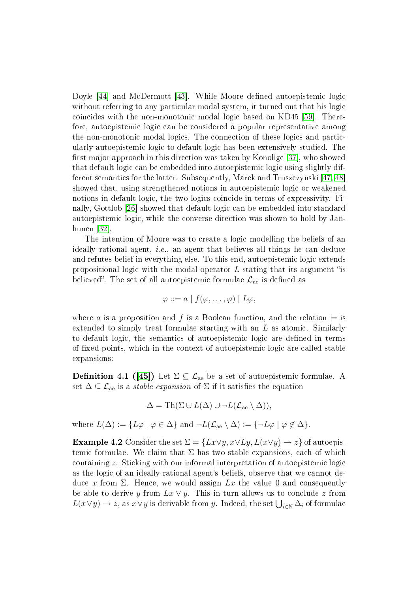Doyle [\[44\]](#page-29-5) and McDermott [\[43\]](#page-29-6). While Moore defined autoepistemic logic without referring to any particular modal system, it turned out that his logic coincides with the non-monotonic modal logic based on KD45 [\[59\]](#page-30-7). Therefore, autoepistemic logic can be considered a popular representative among the non-monotonic modal logics. The connection of these logics and particularly autoepistemic logic to default logic has been extensively studied. The first major approach in this direction was taken by Konolige [\[37\]](#page-29-7), who showed that default logic can be embedded into autoepistemic logic using slightly different semantics for the latter. Subsequently, Marek and Truszczynski [\[47,](#page-29-8) [48\]](#page-30-8) showed that, using strengthened notions in autoepistemic logic or weakened notions in default logic, the two logics coincide in terms of expressivity. Fi-nally, Gottlob [\[26\]](#page-28-4) showed that default logic can be embedded into standard autoepistemic logic, while the converse direction was shown to hold by Janhunen [\[32\]](#page-29-9).

The intention of Moore was to create a logic modelling the beliefs of an ideally rational agent, *i.e.*, an agent that believes all things he can deduce and refutes belief in everything else. To this end, autoepistemic logic extends propositional logic with the modal operator  $L$  stating that its argument "is believed". The set of all autoepistemic formulae  $\mathcal{L}_{ae}$  is defined as

$$
\varphi ::= a \mid f(\varphi, \ldots, \varphi) \mid L\varphi,
$$

where a is a proposition and f is a Boolean function, and the relation  $\models$  is extended to simply treat formulae starting with an L as atomic. Similarly to default logic, the semantics of autoepistemic logic are defined in terms of fixed points, which in the context of autoepistemic logic are called stable expansions:

**Definition 4.1** ([\[45\]](#page-29-4)) Let  $\Sigma \subseteq \mathcal{L}_{\text{ae}}$  be a set of autoepistemic formulae. A set  $\Delta \subseteq \mathcal{L}_{ae}$  is a *stable expansion* of  $\Sigma$  if it satisfies the equation

$$
\Delta = \mathrm{Th}(\Sigma \cup L(\Delta) \cup \neg L(\mathcal{L}_{\mathrm{ae}} \setminus \Delta)),
$$

where  $L(\Delta) := \{ L\varphi \mid \varphi \in \Delta \}$  and  $\neg L(\mathcal{L}_{\text{ae}} \setminus \Delta) := \{ \neg L\varphi \mid \varphi \notin \Delta \}.$ 

<span id="page-13-0"></span>**Example 4.2** Consider the set  $\Sigma = \{Lx \lor y, x \lor Ly, L(x \lor y) \rightarrow z\}$  of autoepistemic formulae. We claim that  $\Sigma$  has two stable expansions, each of which containing z. Sticking with our informal interpretation of autoepistemic logic as the logic of an ideally rational agent's beliefs, observe that we cannot deduce x from  $\Sigma$ . Hence, we would assign  $Lx$  the value 0 and consequently be able to derive y from  $Lx \vee y$ . This in turn allows us to conclude z from  $L(x \vee y) \rightarrow z$ , as  $x \vee y$  is derivable from  $y$ . Indeed, the set  $\bigcup_{i \in \mathbb{N}} \Delta_i$  of formulae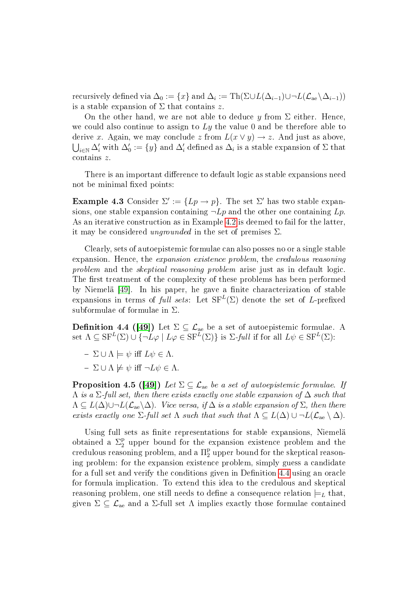recursively defined via  $\Delta_0:=\{x\}$  and  $\Delta_i:=\text{Th}(\Sigma\cup L(\Delta_{i-1})\cup \neg L(\mathcal{L}_\text{ae}\backslash \Delta_{i-1}))$ is a stable expansion of  $\Sigma$  that contains z.

On the other hand, we are not able to deduce y from  $\Sigma$  either. Hence, we could also continue to assign to  $Ly$  the value 0 and be therefore able to derive x. Again, we may conclude z from  $L(x \vee y) \rightarrow z$ . And just as above,  $\bigcup_{i\in\mathbb{N}}\Delta'_i$  with  $\Delta'_0:=\{y\}$  and  $\Delta'_i$  defined as  $\Delta_i$  is a stable expansion of  $\Sigma$  that contains z.

There is an important difference to default logic as stable expansions need not be minimal fixed points:

**Example 4.3** Consider  $\Sigma' := \{ Lp \rightarrow p \}$ . The set  $\Sigma'$  has two stable expansions, one stable expansion containing  $\neg Lp$  and the other one containing  $Lp$ . As an iterative construction as in Example [4.2](#page-13-0) is deemed to fail for the latter, it may be considered *ungrounded* in the set of premises  $\Sigma$ .

Clearly, sets of autoepistemic formulae can also posses no or a single stable expansion. Hence, the *expansion existence problem*, the *credulous reasoning* problem and the *skeptical reasoning problem* arise just as in default logic. The first treatment of the complexity of these problems has been performed by Niemelä [\[49\]](#page-30-9). In his paper, he gave a finite characterization of stable expansions in terms of full sets: Let  $\mathrm{SF}^L(\Sigma)$  denote the set of L-prefixed subformulae of formulae in Σ.

<span id="page-14-0"></span>**Definition 4.4 ([\[49\]](#page-30-9))** Let  $\Sigma\subseteq\mathcal{L}_{\mathrm{ae}}$  be a set of autoepistemic formulae. A set  $\Lambda \subseteq \text{SF}^{L}(\Sigma) \cup \{ \neg L\varphi \mid L\varphi \in \text{SF}^{L}(\Sigma) \}$  is  $\Sigma\text{-}full$  if for all  $L\psi \in \text{SF}^{L}(\Sigma)$ :

- $\Sigma \cup \Lambda \models \psi$  iff  $L\psi \in \Lambda$ .
- $-\Sigma \cup \Lambda \not\models \psi \text{ iff } \neg L\psi \in \Lambda.$

**Proposition 4.5 ([\[49\]](#page-30-9))** Let  $\Sigma \subseteq \mathcal{L}_{\text{ae}}$  be a set of autoepistemic formulae. If  $\Lambda$  is a  $\Sigma$ -full set, then there exists exactly one stable expansion of  $\Delta$  such that  $\Lambda \subseteq L(\Delta) \cup \neg L(\mathcal{L}_{ae} \backslash \Delta)$ . Vice versa, if  $\Delta$  is a stable expansion of  $\Sigma$ , then there exists exactly one  $\Sigma$ -full set  $\Lambda$  such that such that  $\Lambda \subseteq L(\Delta) \cup \neg L(\mathcal{L}_{ae} \setminus \Delta)$ .

Using full sets as finite representations for stable expansions, Niemelä obtained a  $\Sigma_2^{\rm p}$  upper bound for the expansion existence problem and the  $\rm{credu}$ lous reasoning problem, and a  $\Pi_2^{\rm{p}}$  upper bound for the skeptical reasoning problem: for the expansion existence problem, simply guess a candidate for a full set and verify the conditions given in Definition [4.4](#page-14-0) using an oracle for formula implication. To extend this idea to the credulous and skeptical reasoning problem, one still needs to define a consequence relation  $\models_L$  that, given  $\Sigma \subseteq \mathcal{L}_{ae}$  and a  $\Sigma$ -full set  $\Lambda$  implies exactly those formulae contained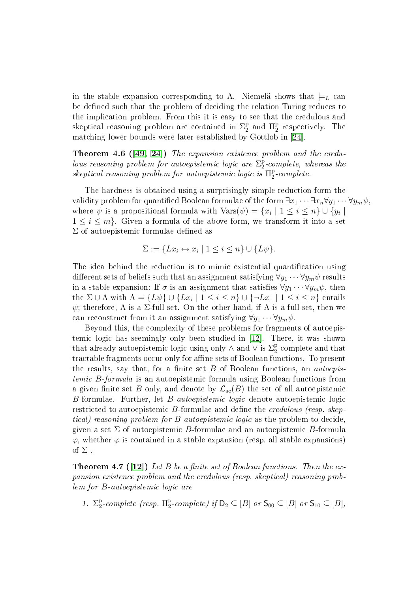in the stable expansion corresponding to Λ. Niemelä shows that  $\models_L$  can be defined such that the problem of deciding the relation Turing reduces to the implication problem. From this it is easy to see that the credulous and skeptical reasoning problem are contained in  $\Sigma_2^{\rm p}$  $_2^{\mathrm{p}}$  and  $\Pi_2^{\mathrm{p}}$ 2 respectively. The matching lower bounds were later established by Gottlob in [\[24\]](#page-28-0).

Theorem 4.6 ([\[49,](#page-30-9) [24\]](#page-28-0)) The expansion existence problem and the credulous reasoning problem for autoepistemic logic are  $\Sigma_2^{\rm p}$  $2^{P}$ -complete, whereas the skeptical reasoning problem for autoepistemic logic is  $\Pi^\text{p}_2$  $2^{p}$ -complete.

The hardness is obtained using a surprisingly simple reduction form the validity problem for quantified Boolean formulae of the form  $\exists x_1 \cdots \exists x_n \forall y_1 \cdots \forall y_m \psi$ , where  $\psi$  is a propositional formula with  $\text{Vars}(\psi) = \{x_i \mid 1 \leq i \leq n\} \cup \{y_i \mid$  $1 \leq i \leq m$ . Given a formula of the above form, we transform it into a set  $\Sigma$  of autoepistemic formulae defined as

$$
\Sigma := \{ Lx_i \leftrightarrow x_i \mid 1 \leq i \leq n \} \cup \{ L\psi \}.
$$

The idea behind the reduction is to mimic existential quantification using different sets of beliefs such that an assignment satisfying  $\forall y_1 \cdots \forall y_m \psi$  results in a stable expansion: If  $\sigma$  is an assignment that satisfies  $\forall y_1 \cdots \forall y_m \psi$ , then the  $\Sigma \cup \Lambda$  with  $\Lambda = \{L\psi\} \cup \{Lx_i \mid 1 \leq i \leq n\} \cup \{\neg Lx_1 \mid 1 \leq i \leq n\}$  entails  $ψ$ ; therefore,  $Λ$  is a  $Σ$ -full set. On the other hand, if  $Λ$  is a full set, then we can reconstruct from it an assignment satisfying  $\forall y_1 \cdots \forall y_m \psi$ .

Beyond this, the complexity of these problems for fragments of autoepistemic logic has seemingly only been studied in [\[12\]](#page-27-6). There, it was shown that already autoepistemic logic using only  $\wedge$  and  $\vee$  is  $\Sigma^\mathtt{p}_2$ 2 -complete and that tractable fragments occur only for affine sets of Boolean functions. To present the results, say that, for a finite set  $B$  of Boolean functions, an *autoepis*temic B-formula is an autoepistemic formula using Boolean functions from a given finite set B only, and denote by  $\mathcal{L}_{ae}(B)$  the set of all autoepistemic B-formulae. Further, let B-autoepistemic logic denote autoepistemic logic restricted to autoepistemic B-formulae and define the *credulous (resp. skep*tical) reasoning problem for B-autoepistemic logic as the problem to decide, given a set  $\Sigma$  of autoepistemic B-formulae and an autoepistemic B-formula  $\varphi$ , whether  $\varphi$  is contained in a stable expansion (resp. all stable expansions) of  $\Sigma$ .

<span id="page-15-0"></span>**Theorem 4.7 ([\[12\]](#page-27-6))** Let B be a finite set of Boolean functions. Then the expansion existence problem and the credulous (resp. skeptical) reasoning problem for B-autoepistemic logic are

1.  $\Sigma_2^{\rm p}$  $\frac{p}{2}$ -complete (resp.  $\Pi_2^{\rm p}$  $_2^{\text{p}}$ -complete) if  $\mathsf{D}_2 \subseteq [B]$  or  $\mathsf{S}_{00} \subseteq [B]$  or  $\mathsf{S}_{10} \subseteq [B]$ ,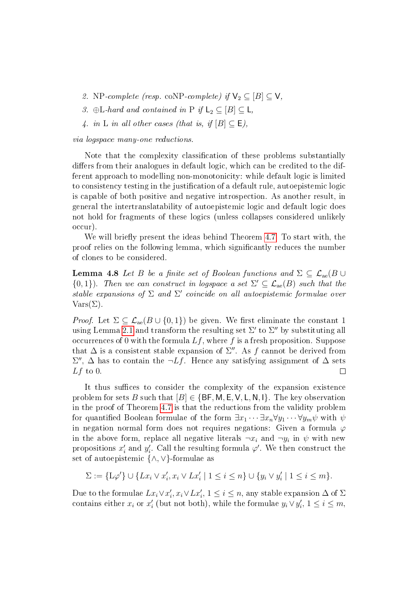- 2. NP-complete (resp. coNP-complete) if  $\mathsf{V}_2 \subseteq [B] \subseteq \mathsf{V}$ ,
- 3. ⊕L-hard and contained in P if  $L_2 \subseteq [B] \subseteq L$ ,
- 4. in L in all other cases (that is, if  $[B] \subset \mathsf{E}$ ),

via logspace many-one reductions.

Note that the complexity classification of these problems substantially differs from their analogues in default logic, which can be credited to the different approach to modelling non-monotonicity: while default logic is limited to consistency testing in the justification of a default rule, autoepistemic logic is capable of both positive and negative introspection. As another result, in general the intertranslatability of autoepistemic logic and default logic does not hold for fragments of these logics (unless collapses considered unlikely occur).

We will briefly present the ideas behind Theorem  $4.7$ . To start with, the proof relies on the following lemma, which signicantly reduces the number of clones to be considered.

**Lemma 4.8** Let B be a finite set of Boolean functions and  $\Sigma \subset \mathcal{L}_{ae}(B \cup$  ${0,1}$ ). Then we can construct in logspace a set  $\Sigma' \subseteq \mathcal{L}_{ae}(B)$  such that the stable expansions of  $\Sigma$  and  $\Sigma'$  coincide on all autoepistemic formulae over  $Vars(\Sigma)$ .

*Proof.* Let  $\Sigma \subseteq \mathcal{L}_{ae}(B \cup \{0,1\})$  be given. We first eliminate the constant 1 using Lemma [2.1](#page-5-0) and transform the resulting set  $\Sigma'$  to  $\Sigma''$  by substituting all occurrences of 0 with the formula  $Lf$ , where f is a fresh proposition. Suppose that  $\Delta$  is a consistent stable expansion of  $\Sigma''$ . As f cannot be derived from  $\Sigma''$ ,  $\Delta$  has to contain the  $\neg Lf$ . Hence any satisfying assignment of  $\Delta$  sets  $Lf$  to 0.  $\Box$ 

It thus suffices to consider the complexity of the expansion existence problem for sets B such that  $[B] \in \{BF, M, E, V, L, N, I\}$ . The key observation in the proof of Theorem [4.7](#page-15-0) is that the reductions from the validity problem for quantified Boolean formulae of the form  $\exists x_1 \cdots \exists x_n \forall y_1 \cdots \forall y_m \psi$  with  $\psi$ in negation normal form does not requires negations: Given a formula  $\varphi$ in the above form, replace all negative literals  $\neg x_i$  and  $\neg y_i$  in  $\psi$  with new propositions  $x_i'$  and  $y_i'$ . Call the resulting formula  $\varphi'$ . We then construct the set of autoepistemic {∧,∨}-formulae as

$$
\Sigma := \{ \mathcal{L}\varphi'\} \cup \{Lx_i \vee x_i', x_i \vee Lx_i' \mid 1 \leq i \leq n \} \cup \{y_i \vee y_i' \mid 1 \leq i \leq m\}.
$$

Due to the formulae  $Lx_i \vee x_i', x_i \vee Lx_i',$   $1 \leq i \leq n$ , any stable expansion  $\Delta$  of  $\Sigma$ contains either  $x_i$  or  $x'_i$  (but not both), while the formulae  $y_i \vee y'_i$ ,  $1 \leq i \leq m$ ,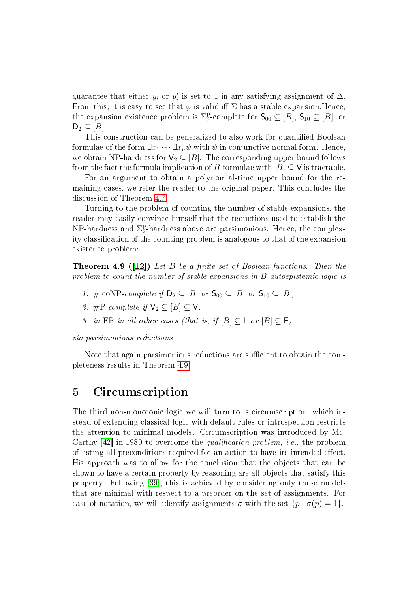guarantee that either  $y_i$  or  $y'_i$  is set to 1 in any satisfying assignment of  $\Delta$ . From this, it is easy to see that  $\varphi$  is valid iff  $\Sigma$  has a stable expansion. Hence, the expansion existence problem is  $\Sigma_2^{\rm p}$ <sup>p</sup><sub>2</sub>-complete for  $\mathsf{S}_{00} \subseteq [B]$ ,  $\mathsf{S}_{10} \subseteq [B]$ , or  $D_2 \subseteq [B]$ .

This construction can be generalized to also work for quantified Boolean formulae of the form  $\exists x_1 \cdots \exists x_n \psi$  with  $\psi$  in conjunctive normal form. Hence, we obtain NP-hardness for  $V_2 \subseteq [B]$ . The corresponding upper bound follows from the fact the formula implication of B-formulae with  $[B] \subseteq V$  is tractable.

For an argument to obtain a polynomial-time upper bound for the remaining cases, we refer the reader to the original paper. This concludes the discussion of Theorem [4.7.](#page-15-0)

Turning to the problem of counting the number of stable expansions, the reader may easily convince himself that the reductions used to establish the NP-hardness and  $\Sigma_2^{\rm p}$ <sup>p</sup>-hardness above are parsimonious. Hence, the complexity classification of the counting problem is analogous to that of the expansion existence problem:

<span id="page-17-0"></span>**Theorem 4.9 ([\[12\]](#page-27-6))** Let B be a finite set of Boolean functions. Then the problem to count the number of stable expansions in B-autoepistemic logic is

- 1. # $\text{coNP-complete if } D_2 \subseteq [B] \text{ or } S_{00} \subseteq [B] \text{ or } S_{10} \subseteq [B],$
- 2. #P-complete if  $\mathsf{V}_2 \subset [B] \subset \mathsf{V}$ ,
- 3. in FP in all other cases (that is, if  $[B] \subseteq L$  or  $[B] \subseteq E$ ),

via parsimonious reductions.

Note that again parsimonious reductions are sufficient to obtain the completeness results in Theorem [4.9.](#page-17-0)

# 5 Circumscription

The third non-monotonic logic we will turn to is circumscription, which instead of extending classical logic with default rules or introspection restricts the attention to minimal models. Circumscription was introduced by Mc-Carthy  $[42]$  in 1980 to overcome the *qualification problem*, *i.e.*, the problem of listing all preconditions required for an action to have its intended effect. His approach was to allow for the conclusion that the objects that can be shown to have a certain property by reasoning are all objects that satisfy this property. Following [\[39\]](#page-29-11), this is achieved by considering only those models that are minimal with respect to a preorder on the set of assignments. For ease of notation, we will identify assignments  $\sigma$  with the set  $\{p \mid \sigma(p)=1\}$ .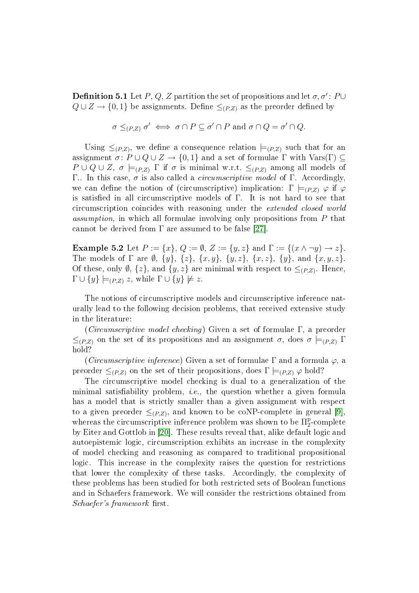**Definition 5.1** Let  $P, Q, Z$  partition the set of propositions and let  $\sigma, \sigma' \colon P \cup$  $Q \cup Z \rightarrow \{0,1\}$  be assignments. Define  $\leq_{(P,Z)}$  as the preorder defined by

$$
\sigma \leq_{(P,Z)} \sigma' \iff \sigma \cap P \subseteq \sigma' \cap P \text{ and } \sigma \cap Q = \sigma' \cap Q.
$$

Using  $\leq_{(P,Z)}$ , we define a consequence relation  $\models_{(P,Z)}$  such that for an assignment  $\sigma: P \cup Q \cup Z \rightarrow \{0,1\}$  and a set of formulae  $\Gamma$  with  $\text{Vars}(\Gamma) \subseteq$  $P \cup Q \cup Z$ ,  $\sigma \models_{(P,Z)} \Gamma$  if  $\sigma$  is minimal w.r.t.  $\leq_{(P,Z)}$  among all models of Γ.. In this case,  $\sigma$  is also called a *circumscriptive model* of Γ. Accordingly, we can define the notion of (circumscriptive) implication:  $\Gamma \models_{(P,Z)} \varphi$  if  $\varphi$ is satisfied in all circumscriptive models of  $\Gamma$ . It is not hard to see that circumscription coincides with reasoning under the extended closed world assumption, in which all formulae involving only propositions from P that cannot be derived from  $\Gamma$  are assumed to be false [\[27\]](#page-28-5).

**Example 5.2** Let  $P := \{x\}, Q := \emptyset, Z := \{y, z\}$  and  $\Gamma := \{(x \land \neg y) \rightarrow z\}.$ The models of  $\Gamma$  are  $\emptyset$ ,  $\{y\}$ ,  $\{z\}$ ,  $\{x, y\}$ ,  $\{y, z\}$ ,  $\{x, z\}$ ,  $\{y\}$ , and  $\{x, y, z\}$ . Of these, only  $\emptyset$ ,  $\{z\}$ , and  $\{y, z\}$  are minimal with respect to  $\leq_{(P,Z)}$ . Hence,  $\Gamma \cup \{y\} \models_{(P,Z)} z$ , while  $\Gamma \cup \{y\} \not\models z$ .

The notions of circumscriptive models and circumscriptive inference naturally lead to the following decision problems, that received extensive study in the literature:

(Circumscriptive model checking) Given a set of formulae Γ, a preorder  $\leq_{(P,Z)}$  on the set of its propositions and an assignment  $\sigma$ , does  $\sigma \models_{(P,Z)} \Gamma$ hold?

(Circumscriptive inference) Given a set of formulae  $\Gamma$  and a formula  $\varphi$ , a preorder  $\leq_{(P,Z)}$  on the set of their propositions, does  $\Gamma \models_{(P,Z)} \varphi$  hold?

The circumscriptive model checking is dual to a generalization of the minimal satisfiability problem, *i.e.*, the question whether a given formula has a model that is strictly smaller than a given assignment with respect to a given preorder  $\leq_{(P,Z)}$ , and known to be coNP-complete in general [\[9\]](#page-27-7), whereas the circumscriptive inference problem was shown to be  $\Pi_2^{\rm p}$ 2 -complete by Eiter and Gottlob in [\[20\]](#page-28-6). These results reveal that, alike default logic and autoepistemic logic, circumscription exhibits an increase in the complexity of model checking and reasoning as compared to traditional propositional logic. This increase in the complexity raises the question for restrictions that lower the complexity of these tasks. Accordingly, the complexity of these problems has been studied for both restricted sets of Boolean functions and in Schaefers framework. We will consider the restrictions obtained from Schaefer's framework first.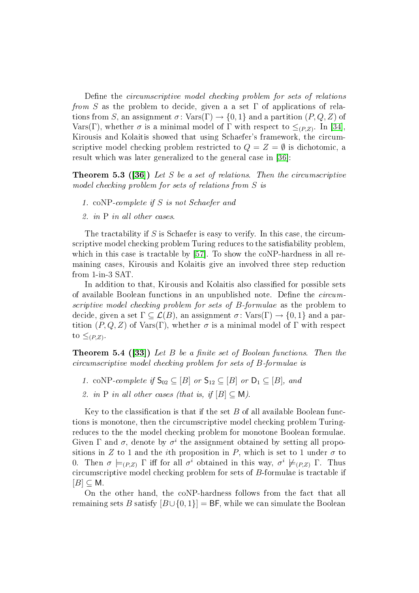Define the *circumscriptive model checking problem for sets of relations* from S as the problem to decide, given a a set  $\Gamma$  of applications of relations from S, an assignment  $\sigma: Var(S) \to \{0, 1\}$  and a partition  $(P, Q, Z)$  of Vars(Γ), whether  $\sigma$  is a minimal model of Γ with respect to  $\leq_{(P,Z)}$ . In [\[34\]](#page-29-12), Kirousis and Kolaitis showed that using Schaefer's framework, the circumscriptive model checking problem restricted to  $Q = Z = \emptyset$  is dichotomic, a result which was later generalized to the general case in [\[36\]](#page-29-13):

**Theorem 5.3 ([\[36\]](#page-29-13))** Let S be a set of relations. Then the circumscriptive model checking problem for sets of relations from S is

- 1. coNP-complete if S is not Schaefer and
- 2. in P in all other cases.

The tractability if  $S$  is Schaefer is easy to verify. In this case, the circumscriptive model checking problem Turing reduces to the satisfiability problem. which in this case is tractable by [\[57\]](#page-30-5). To show the coNP-hardness in all remaining cases, Kirousis and Kolaitis give an involved three step reduction from 1-in-3 SAT.

In addition to that, Kirousis and Kolaitis also classified for possible sets of available Boolean functions in an unpublished note. Define the  $circum$ scriptive model checking problem for sets of B-formulae as the problem to decide, given a set  $\Gamma \subset \mathcal{L}(B)$ , an assignment  $\sigma \colon \text{Vars}(\Gamma) \to \{0, 1\}$  and a partition  $(P, Q, Z)$  of Vars(Γ), whether  $\sigma$  is a minimal model of Γ with respect to  $\leq_{(P,Z)}$ .

**Theorem 5.4 ([\[33\]](#page-29-14))** Let B be a finite set of Boolean functions. Then the circumscriptive model checking problem for sets of B-formulae is

- 1. coNP-complete if  $S_{02} \subseteq [B]$  or  $S_{12} \subseteq [B]$  or  $D_1 \subseteq [B]$ , and
- 2. in P in all other cases (that is, if  $[B] \subset M$ ).

Key to the classification is that if the set  $B$  of all available Boolean functions is monotone, then the circumscriptive model checking problem Turingreduces to the the model checking problem for monotone Boolean formulae. Given  $\Gamma$  and  $\sigma$ , denote by  $\sigma^i$  the assignment obtained by setting all propositions in Z to 1 and the *i*th proposition in P, which is set to 1 under  $\sigma$  to 0. Then  $\sigma \models_{(P,Z)} \Gamma$  iff for all  $\sigma^i$  obtained in this way,  $\sigma^i \not\models_{(P,Z)} \Gamma$ . Thus circumscriptive model checking problem for sets of B-formulae is tractable if  $[B] \subseteq M$ .

On the other hand, the coNP-hardness follows from the fact that all remaining sets B satisfy  $[B\cup\{0,1\}] = BF$ , while we can simulate the Boolean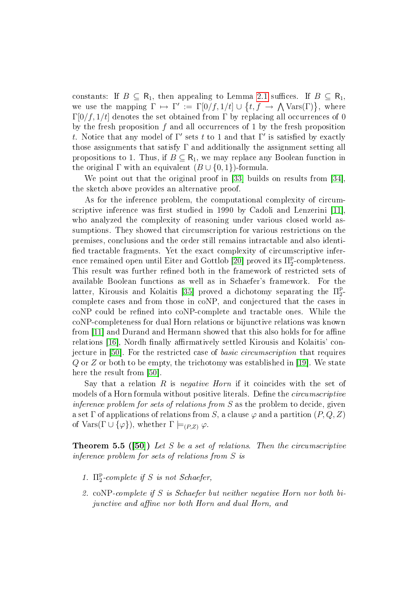constants: If  $B \subseteq R_1$ , then appealing to Lemma [2.1](#page-5-0) suffices. If  $B \subseteq R_1$ , we use the mapping  $\Gamma \mapsto \Gamma' := \Gamma[0/f, 1/t] \cup \{t, f \to \Lambda \text{Vars}(\Gamma)\}\text{, where}$  $\Gamma[0/f, 1/t]$  denotes the set obtained from Γ by replacing all occurrences of 0 by the fresh proposition f and all occurrences of 1 by the fresh proposition t. Notice that any model of  $\Gamma'$  sets t to 1 and that  $\Gamma'$  is satisfied by exactly those assignments that satisfy  $\Gamma$  and additionally the assignment setting all propositions to 1. Thus, if  $B \subseteq R_1$ , we may replace any Boolean function in the original  $\Gamma$  with an equivalent  $(B \cup \{0,1\})$ -formula.

We point out that the original proof in [\[33\]](#page-29-14) builds on results from [\[34\]](#page-29-12), the sketch above provides an alternative proof.

As for the inference problem, the computational complexity of circum-scriptive inference was first studied in 1990 by Cadoli and Lenzerini [\[11\]](#page-27-8). who analyzed the complexity of reasoning under various closed world assumptions. They showed that circumscription for various restrictions on the premises, conclusions and the order still remains intractable and also identi fied tractable fragments. Yet the exact complexity of circumscriptive infer-ence remained open until Eiter and Gottlob [\[20\]](#page-28-6) proved its  $\Pi_2^{\rm p}$ 2 -completeness. This result was further refined both in the framework of restricted sets of available Boolean functions as well as in Schaefer's framework. For the latter, Kirousis and Kolaitis [\[35\]](#page-29-15) proved a dichotomy separating the  $\Pi_2^{\rm p}$  $\frac{\text{p}}{2}$ complete cases and from those in coNP, and conjectured that the cases in coNP could be refined into coNP-complete and tractable ones. While the coNP-completeness for dual Horn relations or bijunctive relations was known from [\[11\]](#page-27-8) and Durand and Hermann showed that this also holds for for affine relations [\[16\]](#page-28-7), Nordh finally affirmatively settled Kirousis and Kolaitis' conjecture in [\[50\]](#page-30-10). For the restricted case of basic circumscription that requires  $Q$  or  $Z$  or both to be empty, the trichotomy was established in [\[19\]](#page-28-8). We state here the result from [\[50\]](#page-30-10).

Say that a relation  $R$  is *negative Horn* if it coincides with the set of models of a Horn formula without positive literals. Define the *circumscriptive* inference problem for sets of relations from  $S$  as the problem to decide, given a set  $\Gamma$  of applications of relations from S, a clause  $\varphi$  and a partition  $(P, Q, Z)$ of  $\text{Vars}(\Gamma \cup \{\varphi\})$ , whether  $\Gamma \models_{(P,Z)} \varphi$ .

**Theorem 5.5 ([\[50\]](#page-30-10))** Let S be a set of relations. Then the circumscriptive inference problem for sets of relations from S is

- 1.  $\Pi_2^{\rm p}$  $2^{P}$ -complete if S is not Schaefer,
- 2. coNP-complete if S is Schaefer but neither negative Horn nor both bijunctive and affine nor both Horn and dual Horn, and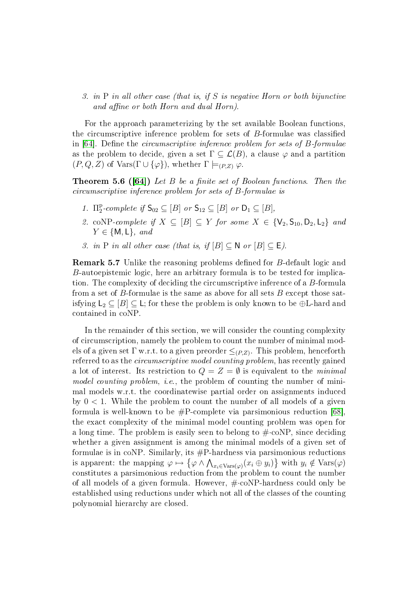3. in P in all other case (that is, if S is negative Horn or both bijunctive and affine or both Horn and dual Horn).

For the approach parameterizing by the set available Boolean functions, the circumscriptive inference problem for sets of  $B$ -formulae was classified in  $|64|$ . Define the *circumscriptive inference problem for sets of B-formulae* as the problem to decide, given a set  $\Gamma \subseteq \mathcal{L}(B)$ , a clause  $\varphi$  and a partition  $(P,Q,Z)$  of Vars( $\Gamma \cup {\varphi}$ ), whether  $\Gamma \models_{(P,Z)} \varphi$ .

**Theorem 5.6 ([\[64\]](#page-30-11))** Let B be a finite set of Boolean functions. Then the circumscriptive inference problem for sets of B-formulae is

- 1.  $\Pi_2^{\rm p}$  $_2^{\text{p}}$ -complete if  $\mathsf{S}_{02} \subseteq [B]$  or  $\mathsf{S}_{12} \subseteq [B]$  or  $\mathsf{D}_1 \subseteq [B]$ ,
- 2. coNP-complete if  $X \subseteq [B] \subseteq Y$  for some  $X \in \{V_2, S_{10}, D_2, L_2\}$  and  $Y \in \{\mathsf{M}, \mathsf{L}\}, \text{ and}$
- 3. in P in all other case (that is, if  $[B] \subseteq N$  or  $[B] \subseteq E$ ).

**Remark 5.7** Unlike the reasoning problems defined for B-default logic and B-autoepistemic logic, here an arbitrary formula is to be tested for implication. The complexity of deciding the circumscriptive inference of a B-formula from a set of B-formulae is the same as above for all sets B except those satisfying  $L_2 \subseteq [B] \subseteq L$ ; for these the problem is only known to be  $\oplus L$ -hard and contained in coNP.

In the remainder of this section, we will consider the counting complexity of circumscription, namely the problem to count the number of minimal models of a given set  $\Gamma$  w.r.t. to a given preorder  $\leq_{(P,Z)}$ . This problem, henceforth referred to as the circumscriptive model counting problem, has recently gained a lot of interest. Its restriction to  $Q = Z = \emptyset$  is equivalent to the *minimal* model counting problem, *i.e.*, the problem of counting the number of minimal models w.r.t. the coordinatewise partial order on assignments induced by  $0 < 1$ . While the problem to count the number of all models of a given formula is well-known to be  $\#P$ -complete via parsimonious reduction [\[68\]](#page-31-1). the exact complexity of the minimal model counting problem was open for a long time. The problem is easily seen to belong to  $\# \text{-coNP}$ , since deciding whether a given assignment is among the minimal models of a given set of formulae is in coNP. Similarly, its #P-hardness via parsimonious reductions is apparent: the mapping  $\varphi \mapsto \{\varphi \wedge \bigwedge_{x_i \in \text{Vars}(\varphi)} (x_i \oplus y_i)\}\$  with  $y_i \notin \text{Vars}(\varphi)$ constitutes a parsimonious reduction from the problem to count the number of all models of a given formula. However, #·coNP-hardness could only be established using reductions under which not all of the classes of the counting polynomial hierarchy are closed.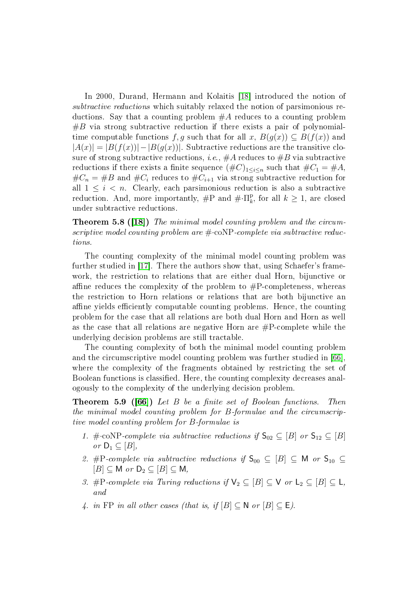In 2000, Durand, Hermann and Kolaitis [\[18\]](#page-28-2) introduced the notion of subtractive reductions which suitably relaxed the notion of parsimonious reductions. Say that a counting problem  $#A$  reduces to a counting problem  $#B$  via strong subtractive reduction if there exists a pair of polynomialtime computable functions f, g such that for all x,  $B(g(x)) \subseteq B(f(x))$  and  $|A(x)| = |B(f(x))| - |B(g(x))|$ . Subtractive reductions are the transitive closure of strong subtractive reductions, *i.e.*,  $#A$  reduces to  $#B$  via subtractive reductions if there exists a finite sequence  $(\#C)_{1\leq i\leq n}$  such that  $\#C_1 = \#A$ ,  $\#C_n = \#B$  and  $\#C_i$  reduces to  $\#C_{i+1}$  via strong subtractive reduction for all  $1 \leq i \leq n$ . Clearly, each parsimonious reduction is also a subtractive reduction. And, more importantly,  $\#P$  and  $\#\cdot\Pi_k^p$  $\frac{p}{k}$ , for all  $k \geq 1$ , are closed under subtractive reductions.

Theorem 5.8 ([\[18\]](#page-28-2)) The minimal model counting problem and the circumscriptive model counting problem are  $\#\text{-}\mathrm{coNP}$ -complete via subtractive reductions.

The counting complexity of the minimal model counting problem was further studied in [\[17\]](#page-28-9). There the authors show that, using Schaefer's framework, the restriction to relations that are either dual Horn, bijunctive or affine reduces the complexity of the problem to  $\#P$ -completeness, whereas the restriction to Horn relations or relations that are both bijunctive an affine yields efficiently computable counting problems. Hence, the counting problem for the case that all relations are both dual Horn and Horn as well as the case that all relations are negative Horn are  $\#P$ -complete while the underlying decision problems are still tractable.

The counting complexity of both the minimal model counting problem and the circumscriptive model counting problem was further studied in [\[66\]](#page-31-3), where the complexity of the fragments obtained by restricting the set of Boolean functions is classified. Here, the counting complexity decreases analogously to the complexity of the underlying decision problem.

**Theorem 5.9 ([\[66\]](#page-31-3))** Let B be a finite set of Boolean functions. Then the minimal model counting problem for B-formulae and the circumscriptive model counting problem for B-formulae is

- 1. # $\text{coNP-complete via subtractive reductions if } S_{02} \subseteq [B]$  or  $S_{12} \subseteq [B]$ or  $D_1 \subseteq [B]$ ,
- 2. #P-complete via subtractive reductions if  $S_{00} \subseteq [B] \subseteq M$  or  $S_{10} \subseteq$  $[B] \subseteq M$  or  $D_2 \subseteq [B] \subseteq M$ ,
- 3. #P-complete via Turing reductions if  $\mathsf{V}_2 \subseteq [B] \subseteq \mathsf{V}$  or  $\mathsf{L}_2 \subseteq [B] \subseteq \mathsf{L}$ , and
- 4. in FP in all other cases (that is, if  $[B] \subset N$  or  $[B] \subset E$ ).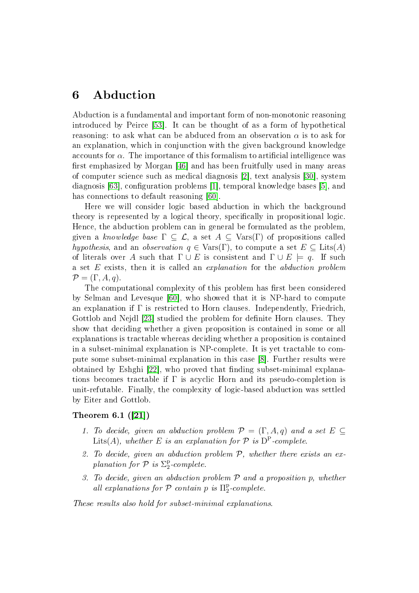# 6 Abduction

Abduction is a fundamental and important form of non-monotonic reasoning introduced by Peirce [\[53\]](#page-30-12). It can be thought of as a form of hypothetical reasoning: to ask what can be abduced from an observation  $\alpha$  is to ask for an explanation, which in conjunction with the given background knowledge accounts for  $\alpha$ . The importance of this formalism to artificial intelligence was first emphasized by Morgan  $[46]$  and has been fruitfully used in many areas of computer science such as medical diagnosis [\[2\]](#page-26-0), text analysis [\[30\]](#page-28-10), system diagnosis  $[63]$ , configuration problems [\[1\]](#page-26-1), temporal knowledge bases [\[5\]](#page-27-9), and has connections to default reasoning [\[60\]](#page-30-14).

Here we will consider logic based abduction in which the background theory is represented by a logical theory, specifically in propositional logic. Hence, the abduction problem can in general be formulated as the problem, given a knowledge base  $\Gamma \subseteq \mathcal{L}$ , a set  $A \subseteq \text{Vars}(\Gamma)$  of propositions called hypothesis, and an observation  $q \in \text{Vars}(\Gamma)$ , to compute a set  $E \subseteq \text{Lists}(A)$ of literals over A such that  $\Gamma \cup E$  is consistent and  $\Gamma \cup E$  = q. If such a set E exists, then it is called an explanation for the abduction problem  $\mathcal{P} = (\Gamma, A, q).$ 

The computational complexity of this problem has first been considered by Selman and Levesque [\[60\]](#page-30-14), who showed that it is NP-hard to compute an explanation if  $\Gamma$  is restricted to Horn clauses. Independently, Friedrich, Gottlob and Nejdl [\[23\]](#page-28-11) studied the problem for definite Horn clauses. They show that deciding whether a given proposition is contained in some or all explanations is tractable whereas deciding whether a proposition is contained in a subset-minimal explanation is NP-complete. It is yet tractable to compute some subset-minimal explanation in this case [\[8\]](#page-27-10). Further results were obtained by Eshghi [\[22\]](#page-28-12), who proved that finding subset-minimal explanations becomes tractable if  $\Gamma$  is acyclic Horn and its pseudo-completion is unit-refutable. Finally, the complexity of logic-based abduction was settled by Eiter and Gottlob.

### <span id="page-23-0"></span>Theorem 6.1 ([\[21\]](#page-28-13))

- 1. To decide, given an abduction problem  $\mathcal{P} = (\Gamma, A, q)$  and a set  $E \subseteq$ Lits(A), whether E is an explanation for  $P$  is  $D^P$ -complete.
- 2. To decide, given an abduction problem  $P$ , whether there exists an explanation for  $P$  is  $\Sigma_2^{\rm p}$  $2^{p}$ -complete.
- 3. To decide, given an abduction problem  $P$  and a proposition  $p$ , whether all explanations for  $P$  contain p is  $\Pi_2^{\rm p}$  $2^{p}$ -complete.

These results also hold for subset-minimal explanations.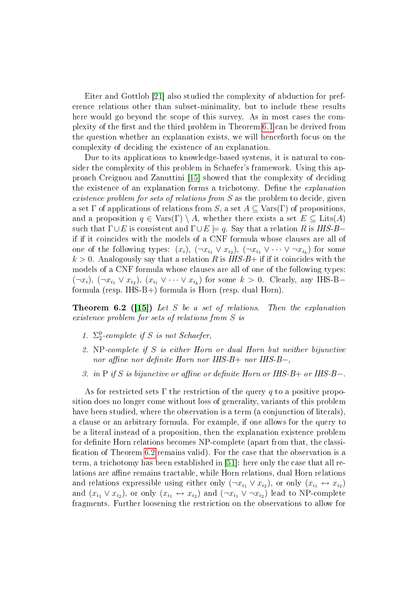Eiter and Gottlob [\[21\]](#page-28-13) also studied the complexity of abduction for preference relations other than subset-minimality, but to include these results here would go beyond the scope of this survey. As in most cases the com-plexity of the first and the third problem in Theorem [6.1](#page-23-0) can be derived from the question whether an explanation exists, we will henceforth focus on the complexity of deciding the existence of an explanation.

Due to its applications to knowledge-based systems, it is natural to consider the complexity of this problem in Schaefer's framework. Using this approach Creignou and Zanuttini [\[15\]](#page-27-11) showed that the complexity of deciding the existence of an explanation forms a trichotomy. Define the *explanation* existence problem for sets of relations from S as the problem to decide, given a set  $\Gamma$  of applications of relations from S, a set  $A \subset \text{Vars}(\Gamma)$  of propositions. and a proposition  $q \in \text{Vars}(\Gamma) \setminus A$ , whether there exists a set  $E \subseteq \text{Lists}(A)$ such that  $\Gamma \cup E$  is consistent and  $\Gamma \cup E \models q$ . Say that a relation R is IHS-B– if if it coincides with the models of a CNF formula whose clauses are all of one of the following types:  $(x_i)$ ,  $(\neg x_{i_1} \lor x_{i_2})$ ,  $(\neg x_{i_1} \lor \cdots \lor \neg x_{i_k})$  for some  $k > 0$ . Analogously say that a relation R is IHS-B+ if if it coincides with the models of a CNF formula whose clauses are all of one of the following types:  $(\neg x_i)$ ,  $(\neg x_{i_1} \lor x_{i_2})$ ,  $(x_{i_1} \lor \cdots \lor x_{i_k})$  for some  $k > 0$ . Clearly, any IHS-Bformula (resp. IHS-B+) formula is Horn (resp. dual Horn).

<span id="page-24-0"></span>**Theorem 6.2 ([\[15\]](#page-27-11))** Let S be a set of relations. Then the explanation existence problem for sets of relations from S is

- 1.  $\Sigma_2^{\rm p}$  $2^{P}$ -complete if S is not Schaefer,
- 2. NP-complete if S is either Horn or dual Horn but neither bijunctive nor affine nor definite Horn nor IHS-B+ nor IHS-B-,
- 3. in P if S is bijunctive or affine or definite Horn or IHS-B+ or IHS-B-.

As for restricted sets  $\Gamma$  the restriction of the query q to a positive proposition does no longer come without loss of generality, variants of this problem have been studied, where the observation is a term (a conjunction of literals), a clause or an arbitrary formula. For example, if one allows for the query to be a literal instead of a proposition, then the explanation existence problem for definite Horn relations becomes NP-complete (apart from that, the classi-fication of Theorem [6.2](#page-24-0) remains valid). For the case that the observation is a term, a trichotomy has been established in [\[51\]](#page-30-15): here only the case that all relations are affine remains tractable, while Horn relations, dual Horn relations and relations expressible using either only  $(\neg x_{i_1} \lor x_{i_2})$ , or only  $(x_{i_1} \leftrightarrow x_{i_2})$ and  $(x_{i_1} \vee x_{i_2})$ , or only  $(x_{i_1} \leftrightarrow x_{i_2})$  and  $(\neg x_{i_1} \vee \neg x_{i_2})$  lead to NP-complete fragments. Further loosening the restriction on the observations to allow for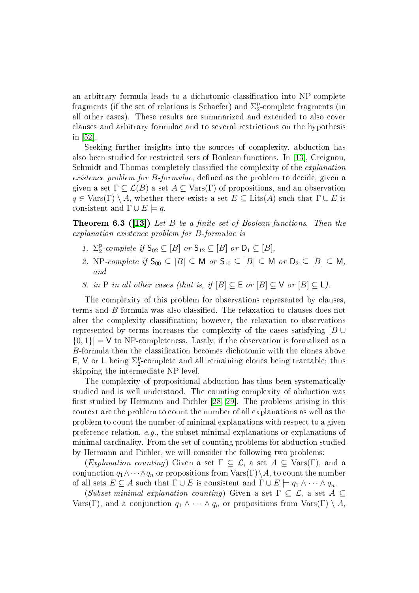an arbitrary formula leads to a dichotomic classication into NP-complete fragments (if the set of relations is Schaefer) and  $\Sigma^\text{p}_2$ 2 -complete fragments (in all other cases). These results are summarized and extended to also cover clauses and arbitrary formulae and to several restrictions on the hypothesis in [\[52\]](#page-30-16).

Seeking further insights into the sources of complexity, abduction has also been studied for restricted sets of Boolean functions. In [\[13\]](#page-27-12), Creignou, Schmidt and Thomas completely classified the complexity of the *explanation* existence problem for B-formulae, defined as the problem to decide, given a given a set  $\Gamma \subseteq \mathcal{L}(B)$  a set  $A \subseteq \text{Vars}(\Gamma)$  of propositions, and an observation  $q \in \text{Vars}(\Gamma) \setminus A$ , whether there exists a set  $E \subseteq \text{Lists}(A)$  such that  $\Gamma \cup E$  is consistent and  $\Gamma \cup E \models q$ 

**Theorem 6.3 ([\[13\]](#page-27-12))** Let B be a finite set of Boolean functions. Then the explanation existence problem for B-formulae is

- 1.  $\Sigma_2^{\rm p}$  $_2^{\text{p}}$ -complete if  $\mathsf{S}_{02} \subseteq [B]$  or  $\mathsf{S}_{12} \subseteq [B]$  or  $\mathsf{D}_1 \subseteq [B]$ ,
- 2. NP-complete if  $S_{00} \subseteq [B] \subseteq M$  or  $S_{10} \subseteq [B] \subseteq M$  or  $D_2 \subseteq [B] \subseteq M$ , and
- 3. in P in all other cases (that is, if  $[B] \subseteq E$  or  $[B] \subseteq V$  or  $[B] \subseteq L$ ).

The complexity of this problem for observations represented by clauses, terms and B-formula was also classified. The relaxation to clauses does not alter the complexity classification; however, the relaxation to observations represented by terms increases the complexity of the cases satisfying  $[B \cup$  ${0, 1} = V$  to NP-completeness. Lastly, if the observation is formalized as a  $B$ -formula then the classification becomes dichotomic with the clones above E, V or L being  $\Sigma_2^p$ <sup>p</sup>-complete and all remaining clones being tractable; thus skipping the intermediate NP level.

The complexity of propositional abduction has thus been systematically studied and is well understood. The counting complexity of abduction was first studied by Hermann and Pichler  $[28, 29]$  $[28, 29]$ . The problems arising in this context are the problem to count the number of all explanations as well as the problem to count the number of minimal explanations with respect to a given preference relation, e.g., the subset-minimal explanations or explanations of minimal cardinality. From the set of counting problems for abduction studied by Hermann and Pichler, we will consider the following two problems:

(Explanation counting) Given a set  $\Gamma \subseteq \mathcal{L}$ , a set  $A \subseteq \text{Vars}(\Gamma)$ , and a conjunction  $q_1 \wedge \cdots \wedge q_n$  or propositions from  $\text{Vars}(\Gamma) \setminus A$ , to count the number of all sets  $E \subseteq A$  such that  $\Gamma \cup E$  is consistent and  $\Gamma \cup E \models q_1 \wedge \cdots \wedge q_n$ .

(Subset-minimal explanation counting) Given a set  $\Gamma \subseteq \mathcal{L}$ , a set  $A \subseteq$ Vars(Γ), and a conjunction  $q_1 \wedge \cdots \wedge q_n$  or propositions from  $\text{Vars}(\Gamma) \setminus A$ ,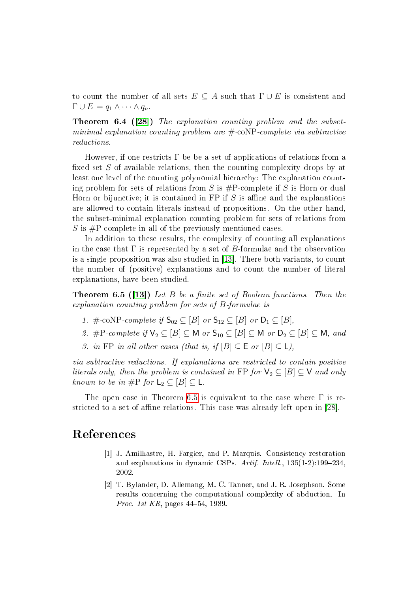to count the number of all sets  $E \subseteq A$  such that  $\Gamma \cup E$  is consistent and  $\Gamma \cup E \models q_1 \wedge \cdots \wedge q_n.$ 

**Theorem 6.4 ([\[28\]](#page-28-3))** The explanation counting problem and the subsetminimal explanation counting problem are  $\#$ -coNP-complete via subtractive reductions.

However, if one restricts  $\Gamma$  be be a set of applications of relations from a fixed set  $S$  of available relations, then the counting complexity drops by at least one level of the counting polynomial hierarchy: The explanation counting problem for sets of relations from S is  $\#P$ -complete if S is Horn or dual Horn or bijunctive; it is contained in FP if  $S$  is affine and the explanations are allowed to contain literals instead of propositions. On the other hand, the subset-minimal explanation counting problem for sets of relations from S is  $\#P$ -complete in all of the previously mentioned cases.

In addition to these results, the complexity of counting all explanations in the case that  $\Gamma$  is represented by a set of B-formulae and the observation is a single proposition was also studied in [\[13\]](#page-27-12). There both variants, to count the number of (positive) explanations and to count the number of literal explanations, have been studied.

<span id="page-26-2"></span>**Theorem 6.5 ([\[13\]](#page-27-12))** Let B be a finite set of Boolean functions. Then the explanation counting problem for sets of B-formulae is

- 1. # $\cdot$ coNP-complete if  $S_{02} \subset [B]$  or  $S_{12} \subset [B]$  or  $D_1 \subset [B]$ ,
- 2. #P-complete if  $\mathsf{V}_2 \subseteq [B] \subseteq \mathsf{M}$  or  $\mathsf{S}_{10} \subseteq [B] \subseteq \mathsf{M}$  or  $\mathsf{D}_2 \subseteq [B] \subseteq \mathsf{M}$ , and
- 3. in FP in all other cases (that is, if  $[B] \subseteq E$  or  $[B] \subseteq L$ ),

via subtractive reductions. If explanations are restricted to contain positive literals only, then the problem is contained in FP for  $\mathsf{V}_2 \subseteq [B] \subseteq \mathsf{V}$  and only known to be in #P for  $L_2 \subseteq [B] \subseteq L$ .

The open case in Theorem [6.5](#page-26-2) is equivalent to the case where  $\Gamma$  is re-stricted to a set of affine relations. This case was already left open in [\[28\]](#page-28-3).

# <span id="page-26-1"></span>References

- [1] J. Amilhastre, H. Fargier, and P. Marquis. Consistency restoration and explanations in dynamic CSPs. Artif. Intell.,  $135(1-2):199-234$ . 2002.
- <span id="page-26-0"></span>[2] T. Bylander, D. Allemang, M. C. Tanner, and J. R. Josephson. Some results concerning the computational complexity of abduction. In *Proc. 1st KR*, pages  $44-54$ , 1989.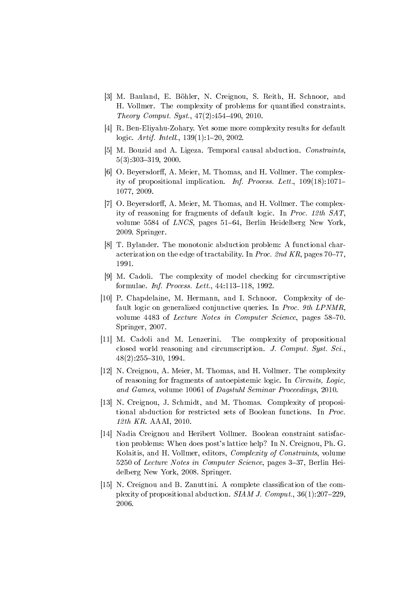- <span id="page-27-5"></span>[3] M. Bauland, E. Böhler, N. Creignou, S. Reith, H. Schnoor, and H. Vollmer. The complexity of problems for quantified constraints. Theory Comput. Syst.,  $47(2):454-490$ , 2010.
- <span id="page-27-0"></span>[4] R. Ben-Eliyahu-Zohary. Yet some more complexity results for default logic. Artif. Intell., 139(1):1-20, 2002.
- <span id="page-27-9"></span>[5] M. Bouzid and A. Ligeza. Temporal causal abduction. Constraints.  $5(3):303-319, 2000.$
- <span id="page-27-2"></span>[6] O. Beyersdorff, A. Meier, M. Thomas, and H. Vollmer. The complexity of propositional implication. Inf. Process. Lett., 109(18):1071 1077, 2009.
- <span id="page-27-1"></span>[7] O. Beyersdorff, A. Meier, M. Thomas, and H. Vollmer. The complexity of reasoning for fragments of default logic. In Proc. 12th SAT, volume 5584 of  $LNCS$ , pages 51–64, Berlin Heidelberg New York. 2009. Springer.
- <span id="page-27-10"></span>[8] T. Bylander. The monotonic abduction problem: A functional characterization on the edge of tractability. In Proc. 2nd KR, pages  $70-77$ . 1991.
- <span id="page-27-7"></span>[9] M. Cadoli. The complexity of model checking for circumscriptive formulae. *Inf. Process. Lett.*,  $44:113-118$ ,  $1992$ .
- <span id="page-27-3"></span>[10] P. Chapdelaine, M. Hermann, and I. Schnoor. Complexity of default logic on generalized conjunctive queries. In Proc. 9th LPNMR, volume 4483 of Lecture Notes in Computer Science, pages 58–70. Springer, 2007.
- <span id="page-27-8"></span>[11] M. Cadoli and M. Lenzerini. The complexity of propositional closed world reasoning and circumscription. J. Comput. Syst. Sci.,  $48(2):255-310, 1994.$
- <span id="page-27-6"></span>[12] N. Creignou, A. Meier, M. Thomas, and H. Vollmer. The complexity of reasoning for fragments of autoepistemic logic. In Circuits, Logic, and Games, volume 10061 of Dagstuhl Seminar Proceedings, 2010.
- <span id="page-27-12"></span>[13] N. Creignou, J. Schmidt, and M. Thomas. Complexity of propositional abduction for restricted sets of Boolean functions. In Proc. 12th KR. AAAI, 2010.
- <span id="page-27-4"></span>[14] Nadia Creignou and Heribert Vollmer. Boolean constraint satisfaction problems: When does post's lattice help? In N. Creignou, Ph. G. Kolaitis, and H. Vollmer, editors, Complexity of Constraints, volume 5250 of Lecture Notes in Computer Science, pages 3-37, Berlin Heidelberg New York, 2008. Springer.
- <span id="page-27-11"></span>[15] N. Creignou and B. Zanuttini. A complete classification of the complexity of propositional abduction. SIAM J. Comput.,  $36(1):207-229$ . 2006.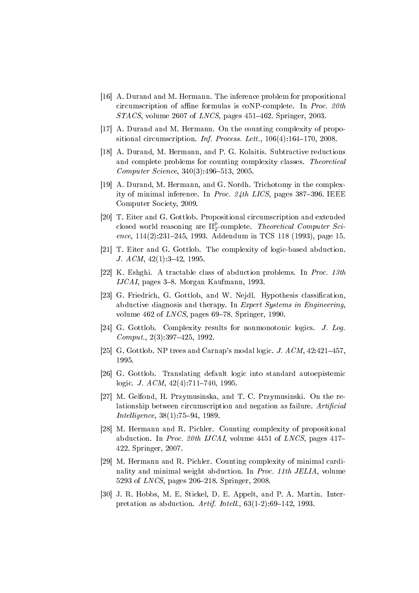- <span id="page-28-7"></span>[16] A. Durand and M. Hermann. The inference problem for propositional circumscription of affine formulas is coNP-complete. In *Proc.* 20th  $STACS$ , volume 2607 of *LNCS*, pages 451–462. Springer, 2003.
- <span id="page-28-9"></span>[17] A. Durand and M. Hermann. On the counting complexity of propositional circumscription. Inf. Process. Lett.,  $106(4):164-170$ ,  $2008$ .
- <span id="page-28-2"></span>[18] A. Durand, M. Hermann, and P. G. Kolaitis. Subtractive reductions and complete problems for counting complexity classes. Theoretical  $Computer\, Science, 340(3):496-513, 2005.$
- <span id="page-28-8"></span>[19] A. Durand, M. Hermann, and G. Nordh. Trichotomy in the complexity of minimal inference. In Proc.  $24th$  LICS, pages 387-396. IEEE Computer Society, 2009.
- <span id="page-28-6"></span>[20] T. Eiter and G. Gottlob. Propositional circumscription and extended closed world reasoning are  $\Pi_2^p$  $\frac{p}{2}$ -complete. Theoretical Computer Science,  $114(2):231-245$ , 1993. Addendum in TCS 118 (1993), page 15.
- <span id="page-28-13"></span>[21] T. Eiter and G. Gottlob. The complexity of logic-based abduction. J.  $ACM$ ,  $42(1):3-42$ , 1995.
- <span id="page-28-12"></span>[22] K. Eshghi. A tractable class of abduction problems. In Proc. 13th IJCAI, pages  $3-8$ . Morgan Kaufmann, 1993.
- <span id="page-28-11"></span>[23] G. Friedrich, G. Gottlob, and W. Nejdl. Hypothesis classication, abductive diagnosis and therapy. In Expert Systems in Engineering, volume  $462$  of *LNCS*, pages  $69-78$ . Springer, 1990.
- <span id="page-28-0"></span>[24] G. Gottlob. Complexity results for nonmonotonic logics. J. Log.  $Comput., 2(3):397-425, 1992.$
- <span id="page-28-1"></span>[25] G. Gottlob. NP trees and Carnap's modal logic. J.  $ACM$ ,  $42:421-457$ . 1995.
- <span id="page-28-4"></span>[26] G. Gottlob. Translating default logic into standard autoepistemic logic. J.  $ACM$ ,  $42(4):711-740$ , 1995.
- <span id="page-28-5"></span>[27] M. Gelfond, H. Przymusinska, and T. C. Przymusinski. On the relationship between circumscription and negation as failure. Artificial  $Intelligence, 38(1):75-94, 1989.$
- <span id="page-28-3"></span>[28] M. Hermann and R. Pichler. Counting complexity of propositional abduction. In Proc. 20th IJCAI, volume 4451 of LNCS, pages 417 422. Springer, 2007.
- <span id="page-28-14"></span>[29] M. Hermann and R. Pichler. Counting complexity of minimal cardinality and minimal weight abduction. In Proc. 11th JELIA, volume 5293 of *LNCS*, pages 206-218. Springer, 2008.
- <span id="page-28-10"></span>[30] J. R. Hobbs, M. E. Stickel, D. E. Appelt, and P. A. Martin. Interpretation as abduction. Artif. Intell.,  $63(1-2):69-142$ , 1993.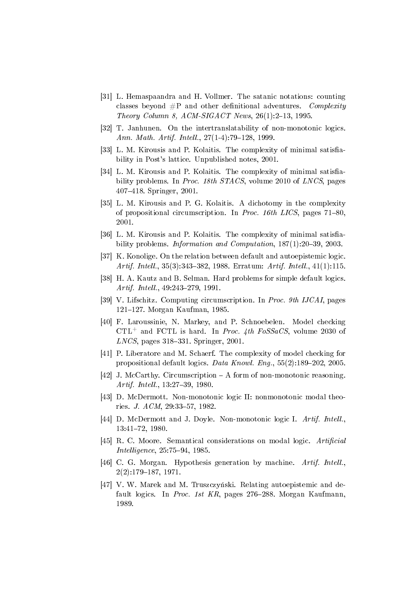- <span id="page-29-3"></span>[31] L. Hemaspaandra and H. Vollmer. The satanic notations: counting classes beyond  $\#P$  and other definitional adventures. Complexity Theory Column 8, ACM-SIGACT News,  $26(1):2-13$ , 1995.
- <span id="page-29-9"></span>[32] T. Janhunen. On the intertranslatability of non-monotonic logics. Ann. Math. Artif. Intell.,  $27(1-4):79-128$ , 1999.
- <span id="page-29-14"></span>[33] L. M. Kirousis and P. Kolaitis. The complexity of minimal satisfiability in Post's lattice. Unpublished notes, 2001.
- <span id="page-29-12"></span>[34] L. M. Kirousis and P. Kolaitis. The complexity of minimal satisfiability problems. In *Proc. 18th STACS*, volume 2010 of *LNCS*, pages 407418. Springer, 2001.
- <span id="page-29-15"></span>[35] L. M. Kirousis and P. G. Kolaitis. A dichotomy in the complexity of propositional circumscription. In Proc. 16th LICS, pages 71-80, 2001.
- <span id="page-29-13"></span>[36] L. M. Kirousis and P. Kolaitis. The complexity of minimal satisfiability problems. Information and Computation,  $187(1):20-39$ , 2003.
- <span id="page-29-7"></span>[37] K. Konolige. On the relation between default and autoepistemic logic. Artif. Intell., 35(3):343-382, 1988. Erratum: Artif. Intell., 41(1):115.
- <span id="page-29-0"></span>[38] H. A. Kautz and B. Selman. Hard problems for simple default logics. Artif. Intell., 49:243-279, 1991.
- <span id="page-29-11"></span>[39] V. Lifschitz. Computing circumscription. In Proc. 9th IJCAI, pages 121–127. Morgan Kaufman, 1985.
- <span id="page-29-2"></span>[40] F. Laroussinie, N. Markey, and P. Schnoebelen. Model checking  $CTL^+$  and FCTL is hard. In *Proc. 4th FoSSaCS*, volume 2030 of  $LNCS$ , pages 318–331. Springer, 2001.
- <span id="page-29-1"></span>[41] P. Liberatore and M. Schaerf. The complexity of model checking for propositional default logics. Data Knowl. Eng.,  $55(2):189-202$ , 2005.
- <span id="page-29-10"></span>[42] J. McCarthy. Circumscription  $-A$  form of non-monotonic reasoning. Artif. Intell., 13:27-39, 1980.
- <span id="page-29-6"></span>[43] D. McDermott. Non-monotonic logic II: nonmonotonic modal theories. *J. ACM*,  $29:33-57$ , 1982.
- <span id="page-29-5"></span>[44] D. McDermott and J. Doyle. Non-monotonic logic I. Artif. Intell. 13:41-72, 1980.
- <span id="page-29-4"></span>[45] R. C. Moore. Semantical considerations on modal logic. Artificial  $Intelligence, 25:75-94, 1985.$
- <span id="page-29-16"></span>[46] C. G. Morgan. Hypothesis generation by machine. Artif. Intell.  $2(2):179-187, 1971.$
- <span id="page-29-8"></span>[47] V. W. Marek and M. Truszczyński. Relating autoepistemic and default logics. In Proc. 1st  $KR$ , pages 276–288. Morgan Kaufmann, 1989.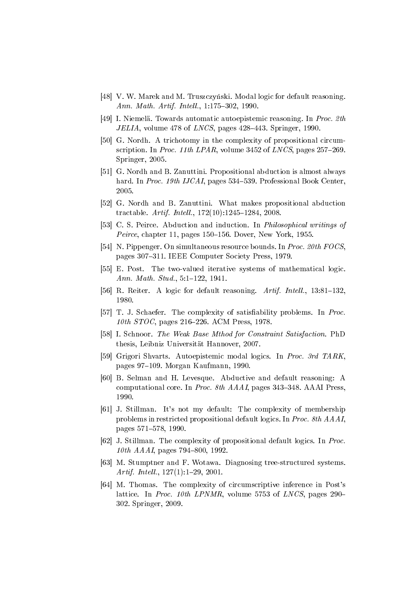- <span id="page-30-8"></span>[48] V. W. Marek and M. Truszczyński. Modal logic for default reasoning. Ann. Math. Artif. Intell.,  $1:175-302$ , 1990.
- <span id="page-30-9"></span>[49] I. Niemelä. Towards automatic autoepistemic reasoning. In Proc. 2th *JELIA*, volume 478 of *LNCS*, pages  $428-443$ . Springer, 1990.
- <span id="page-30-10"></span>[50] G. Nordh. A trichotomy in the complexity of propositional circumscription. In Proc. 11th LPAR, volume 3452 of LNCS, pages  $257-269$ . Springer, 2005.
- <span id="page-30-15"></span>[51] G. Nordh and B. Zanuttini. Propositional abduction is almost always hard. In Proc. 19th IJCAI, pages 534–539. Professional Book Center. 2005.
- <span id="page-30-16"></span>[52] G. Nordh and B. Zanuttini. What makes propositional abduction tractable.  $Artif. Intell., 172(10):1245-1284, 2008.$
- <span id="page-30-12"></span>[53] C. S. Peirce. Abduction and induction. In Philosophical writings of Peirce, chapter 11, pages  $150-156$ . Dover, New York, 1955.
- <span id="page-30-1"></span>[54] N. Pippenger. On simultaneous resource bounds. In Proc. 20th FOCS, pages 307-311. IEEE Computer Society Press, 1979.
- <span id="page-30-0"></span>[55] E. Post. The two-valued iterative systems of mathematical logic. Ann. Math. Stud.,  $5:1-122$ , 1941.
- <span id="page-30-2"></span>[56] R. Reiter. A logic for default reasoning.  $Artif.$  Intell.,  $13:81-132$ . 1980.
- <span id="page-30-5"></span>[57] T. J. Schaefer. The complexity of satisfiability problems. In Proc. 10th STOC, pages 216–226. ACM Press, 1978.
- <span id="page-30-6"></span>[58] I. Schnoor. The Weak Base Mthod for Constraint Satisfaction. PhD thesis, Leibniz Universität Hannover, 2007.
- <span id="page-30-7"></span>[59] Grigori Shvarts. Autoepistemic modal logics. In Proc. 3rd TARK, pages 97-109. Morgan Kaufmann, 1990.
- <span id="page-30-14"></span>[60] B. Selman and H. Levesque. Abductive and default reasoning: A computational core. In Proc. 8th  $AAAI$ , pages 343-348. AAAI Press, 1990.
- <span id="page-30-3"></span>[61] J. Stillman. It's not my default: The complexity of membership problems in restricted propositional default logics. In Proc. 8th AAAI, pages 571–578, 1990.
- <span id="page-30-4"></span>[62] J. Stillman. The complexity of propositional default logics. In Proc.  $10th$  AAAI, pages 794-800, 1992.
- <span id="page-30-13"></span>[63] M. Stumptner and F. Wotawa. Diagnosing tree-structured systems. Artif. Intell.,  $127(1):1-29$ , 2001.
- <span id="page-30-11"></span>[64] M. Thomas. The complexity of circumscriptive inference in Post's lattice. In Proc. 10th LPNMR, volume 5753 of LNCS, pages 290– 302. Springer, 2009.